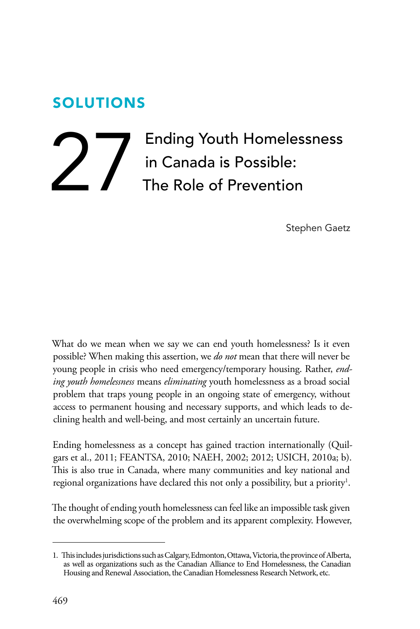# SOLUTIONS

# Ending Youth Homelessness<br>in Canada is Possible:<br>The Role of Prevention in Canada is Possible: The Role of Prevention

Stephen Gaetz

What do we mean when we say we can end youth homelessness? Is it even possible? When making this assertion, we *do not* mean that there will never be young people in crisis who need emergency/temporary housing. Rather, *ending youth homelessness* means *eliminating* youth homelessness as a broad social problem that traps young people in an ongoing state of emergency, without access to permanent housing and necessary supports, and which leads to declining health and well-being, and most certainly an uncertain future.

Ending homelessness as a concept has gained traction internationally (Quilgars et al., 2011; FEANTSA, 2010; NAEH, 2002; 2012; USICH, 2010a; b). This is also true in Canada, where many communities and key national and regional organizations have declared this not only a possibility, but a priority<sup>1</sup>.

The thought of ending youth homelessness can feel like an impossible task given the overwhelming scope of the problem and its apparent complexity. However,

 1. This includes jurisdictions such as Calgary, Edmonton, Ottawa, Victoria, the province of Alberta, as well as organizations such as the Canadian Alliance to End Homelessness, the Canadian Housing and Renewal Association, the Canadian Homelessness Research Network, etc.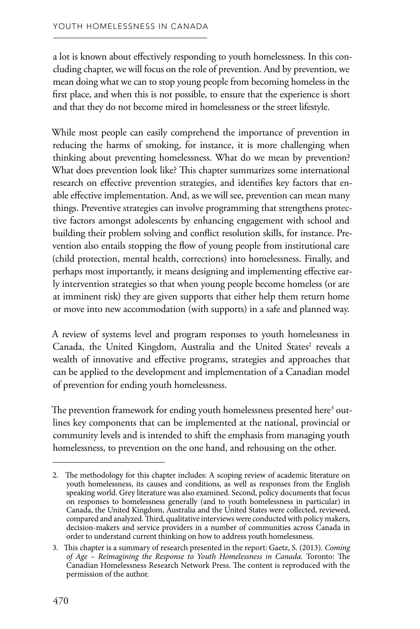a lot is known about effectively responding to youth homelessness. In this concluding chapter, we will focus on the role of prevention. And by prevention, we mean doing what we can to stop young people from becoming homeless in the first place, and when this is not possible, to ensure that the experience is short and that they do not become mired in homelessness or the street lifestyle.

While most people can easily comprehend the importance of prevention in reducing the harms of smoking, for instance, it is more challenging when thinking about preventing homelessness. What do we mean by prevention? What does prevention look like? This chapter summarizes some international research on effective prevention strategies, and identifies key factors that enable effective implementation. And, as we will see, prevention can mean many things. Preventive strategies can involve programming that strengthens protective factors amongst adolescents by enhancing engagement with school and building their problem solving and conflict resolution skills, for instance. Prevention also entails stopping the flow of young people from institutional care (child protection, mental health, corrections) into homelessness. Finally, and perhaps most importantly, it means designing and implementing effective early intervention strategies so that when young people become homeless (or are at imminent risk) they are given supports that either help them return home or move into new accommodation (with supports) in a safe and planned way.

Canada, the United Kingdom, Australia and the United States<sup>2</sup> reveals a A review of systems level and program responses to youth homelessness in wealth of innovative and effective programs, strategies and approaches that can be applied to the development and implementation of a Canadian model of prevention for ending youth homelessness.

The prevention framework for ending youth homelessness presented here<sup>3</sup> out lines key components that can be implemented at the national, provincial or community levels and is intended to shift the emphasis from managing youth homelessness, to prevention on the one hand, and rehousing on the other.

<sup>2.</sup> The methodology for this chapter includes: A scoping review of academic literature on youth homelessness, its causes and conditions, as well as responses from the English speaking world. Grey literature was also examined. Second, policy documents that focus on responses to homelessness generally (and to youth homelessness in particular) in Canada, the United Kingdom, Australia and the United States were collected, reviewed, compared and analyzed. Third, qualitative interviews were conducted with policy makers, decision-makers and service providers in a number of communities across Canada in order to understand current thinking on how to address youth homelessness.

<sup>3.</sup>  This chapter is a summary of research presented in the report: Gaetz, S. (2013). *Coming of Age – Reimagining the Response to Youth Homelessness in Canada.* Toronto: The Canadian Homelessness Research Network Press. The content is reproduced with the permission of the author.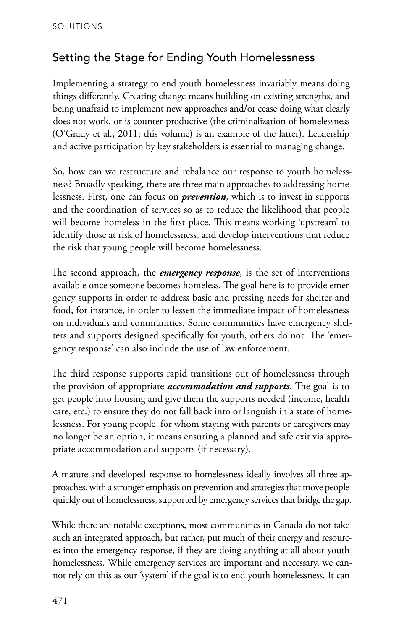## Setting the Stage for Ending Youth Homelessness

Implementing a strategy to end youth homelessness invariably means doing things differently. Creating change means building on existing strengths, and being unafraid to implement new approaches and/or cease doing what clearly does not work, or is counter-productive (the criminalization of homelessness (O'Grady et al., 2011; this volume) is an example of the latter). Leadership and active participation by key stakeholders is essential to managing change.

So, how can we restructure and rebalance our response to youth homelessness? Broadly speaking, there are three main approaches to addressing homelessness. First, one can focus on *prevention*, which is to invest in supports and the coordination of services so as to reduce the likelihood that people will become homeless in the first place. This means working 'upstream' to identify those at risk of homelessness, and develop interventions that reduce the risk that young people will become homelessness.

The second approach, the *emergency response*, is the set of interventions available once someone becomes homeless. The goal here is to provide emergency supports in order to address basic and pressing needs for shelter and food, for instance, in order to lessen the immediate impact of homelessness on individuals and communities. Some communities have emergency shelters and supports designed specifically for youth, others do not. The 'emergency response' can also include the use of law enforcement.

The third response supports rapid transitions out of homelessness through the provision of appropriate *accommodation and supports*. The goal is to get people into housing and give them the supports needed (income, health care, etc.) to ensure they do not fall back into or languish in a state of homelessness. For young people, for whom staying with parents or caregivers may no longer be an option, it means ensuring a planned and safe exit via appropriate accommodation and supports (if necessary).

A mature and developed response to homelessness ideally involves all three approaches, with a stronger emphasis on prevention and strategies that move people quickly out of homelessness, supported by emergency services that bridge the gap.

While there are notable exceptions, most communities in Canada do not take such an integrated approach, but rather, put much of their energy and resources into the emergency response, if they are doing anything at all about youth homelessness. While emergency services are important and necessary, we cannot rely on this as our 'system' if the goal is to end youth homelessness. It can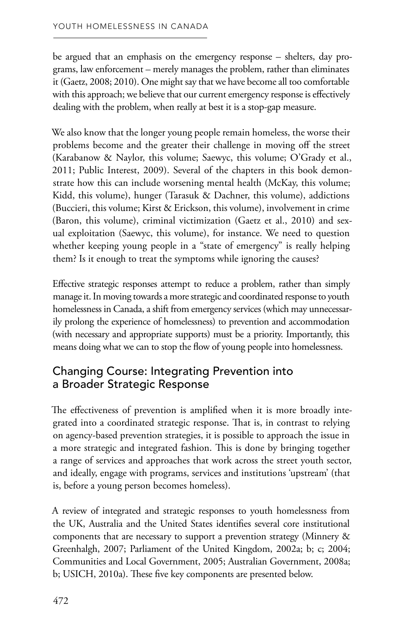be argued that an emphasis on the emergency response – shelters, day programs, law enforcement – merely manages the problem, rather than eliminates it (Gaetz, 2008; 2010). One might say that we have become all too comfortable with this approach; we believe that our current emergency response is effectively dealing with the problem, when really at best it is a stop-gap measure.

We also know that the longer young people remain homeless, the worse their problems become and the greater their challenge in moving off the street (Karabanow & Naylor, this volume; Saewyc, this volume; O'Grady et al., 2011; Public Interest, 2009). Several of the chapters in this book demonstrate how this can include worsening mental health (McKay, this volume; Kidd, this volume), hunger (Tarasuk & Dachner, this volume), addictions (Buccieri, this volume; Kirst & Erickson, this volume), involvement in crime (Baron, this volume), criminal victimization (Gaetz et al., 2010) and sexual exploitation (Saewyc, this volume), for instance. We need to question whether keeping young people in a "state of emergency" is really helping them? Is it enough to treat the symptoms while ignoring the causes?

Effective strategic responses attempt to reduce a problem, rather than simply manage it. In moving towards a more strategic and coordinated response to youth homelessness in Canada, a shift from emergency services (which may unnecessarily prolong the experience of homelessness) to prevention and accommodation (with necessary and appropriate supports) must be a priority. Importantly, this means doing what we can to stop the flow of young people into homelessness.

## Changing Course: Integrating Prevention into a Broader Strategic Response

The effectiveness of prevention is amplified when it is more broadly integrated into a coordinated strategic response. That is, in contrast to relying on agency-based prevention strategies, it is possible to approach the issue in a more strategic and integrated fashion. This is done by bringing together a range of services and approaches that work across the street youth sector, and ideally, engage with programs, services and institutions 'upstream' (that is, before a young person becomes homeless).

A review of integrated and strategic responses to youth homelessness from the UK, Australia and the United States identifies several core institutional components that are necessary to support a prevention strategy (Minnery & Greenhalgh, 2007; Parliament of the United Kingdom, 2002a; b; c; 2004; Communities and Local Government, 2005; Australian Government, 2008a; b; USICH, 2010a). These five key components are presented below.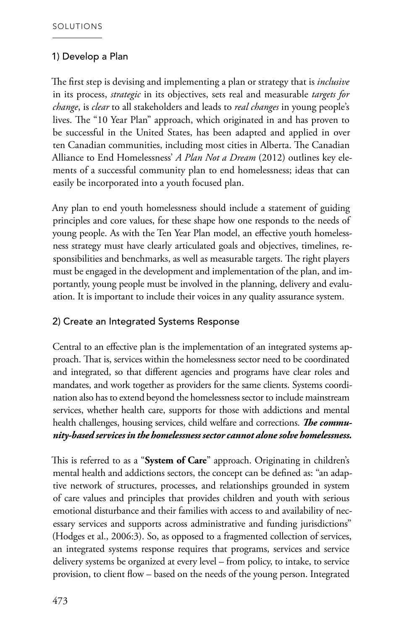#### 1) Develop a Plan

The first step is devising and implementing a plan or strategy that is *inclusive*  in its process, *strategic* in its objectives, sets real and measurable *targets for change*, is *clear* to all stakeholders and leads to *real changes* in young people's lives. The "10 Year Plan" approach, which originated in and has proven to be successful in the United States, has been adapted and applied in over ten Canadian communities, including most cities in Alberta. The Canadian Alliance to End Homelessness' *A Plan Not a Dream* (2012) outlines key elements of a successful community plan to end homelessness; ideas that can easily be incorporated into a youth focused plan.

Any plan to end youth homelessness should include a statement of guiding principles and core values, for these shape how one responds to the needs of young people. As with the Ten Year Plan model, an effective youth homelessness strategy must have clearly articulated goals and objectives, timelines, responsibilities and benchmarks, as well as measurable targets. The right players must be engaged in the development and implementation of the plan, and importantly, young people must be involved in the planning, delivery and evaluation. It is important to include their voices in any quality assurance system.

#### 2) Create an Integrated Systems Response

Central to an effective plan is the implementation of an integrated systems approach. That is, services within the homelessness sector need to be coordinated and integrated, so that different agencies and programs have clear roles and mandates, and work together as providers for the same clients. Systems coordination also has to extend beyond the homelessness sector to include mainstream services, whether health care, supports for those with addictions and mental health challenges, housing services, child welfare and corrections. *The community-based services in the homelessness sector cannot alone solve homelessness.* 

This is referred to as a "**System of Care**" approach. Originating in children's mental health and addictions sectors, the concept can be defined as: ''an adaptive network of structures, processes, and relationships grounded in system of care values and principles that provides children and youth with serious emotional disturbance and their families with access to and availability of necessary services and supports across administrative and funding jurisdictions'' (Hodges et al., 2006:3). So, as opposed to a fragmented collection of services, an integrated systems response requires that programs, services and service delivery systems be organized at every level – from policy, to intake, to service provision, to client flow – based on the needs of the young person. Integrated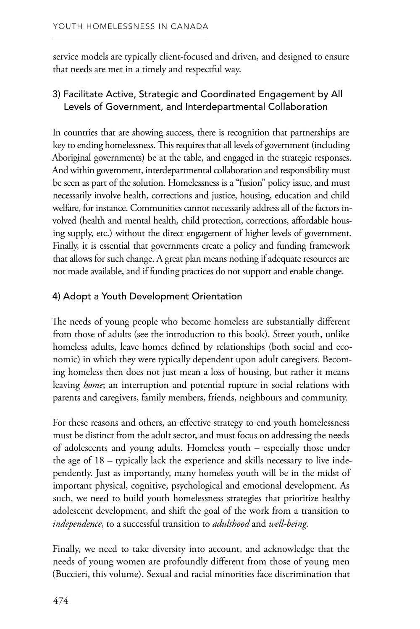that needs are met in a timely and respectful way. service models are typically client-focused and driven, and designed to ensure

#### 3) Facilitate Active, Strategic and Coordinated Engagement by All Levels of Government, and Interdepartmental Collaboration

In countries that are showing success, there is recognition that partnerships are key to ending homelessness. This requires that all levels of government (including Aboriginal governments) be at the table, and engaged in the strategic responses. And within government, interdepartmental collaboration and responsibility must be seen as part of the solution. Homelessness is a "fusion" policy issue, and must necessarily involve health, corrections and justice, housing, education and child welfare, for instance. Communities cannot necessarily address all of the factors involved (health and mental health, child protection, corrections, affordable housing supply, etc.) without the direct engagement of higher levels of government. Finally, it is essential that governments create a policy and funding framework that allows for such change. A great plan means nothing if adequate resources are not made available, and if funding practices do not support and enable change.

#### 4) Adopt a Youth Development Orientation

The needs of young people who become homeless are substantially different from those of adults (see the introduction to this book). Street youth, unlike homeless adults, leave homes defined by relationships (both social and economic) in which they were typically dependent upon adult caregivers. Becoming homeless then does not just mean a loss of housing, but rather it means leaving *home*; an interruption and potential rupture in social relations with parents and caregivers, family members, friends, neighbours and community.

For these reasons and others, an effective strategy to end youth homelessness must be distinct from the adult sector, and must focus on addressing the needs of adolescents and young adults. Homeless youth – especially those under the age of 18 – typically lack the experience and skills necessary to live independently. Just as importantly, many homeless youth will be in the midst of important physical, cognitive, psychological and emotional development. As such, we need to build youth homelessness strategies that prioritize healthy adolescent development, and shift the goal of the work from a transition to *independence*, to a successful transition to *adulthood* and *well-being*.

Finally, we need to take diversity into account, and acknowledge that the needs of young women are profoundly different from those of young men (Buccieri, this volume). Sexual and racial minorities face discrimination that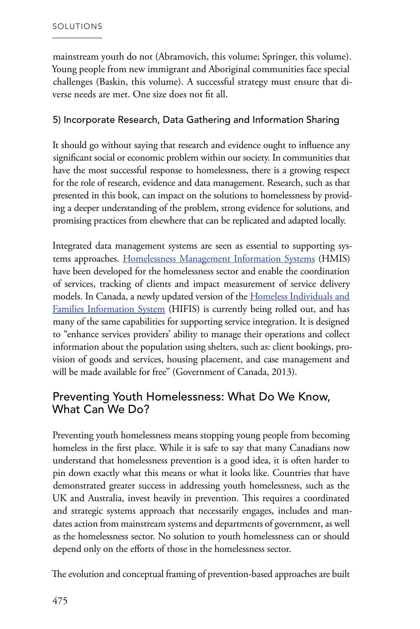mainstream youth do not (Abramovich, this volume; Springer, this volume). Young people from new immigrant and Aboriginal communities face special challenges (Baskin, this volume). A successful strategy must ensure that diverse needs are met. One size does not fit all.

#### 5) Incorporate Research, Data Gathering and Information Sharing

It should go without saying that research and evidence ought to influence any significant social or economic problem within our society. In communities that have the most successful response to homelessness, there is a growing respect for the role of research, evidence and data management. Research, such as that presented in this book, can impact on the solutions to homelessness by provid ing a deeper understanding of the problem, strong evidence for solutions, and promising practices from elsewhere that can be replicated and adapted locally.  $\ddot{\phantom{0}}$ 

Integrated data management systems are seen as essential to supporting sys tems approaches. [Homelessness Management Information Systems](http://www.hmis.info/default.aspx%3FAspxAutoDetectCookieSupport%3D1) (HMIS) have been developed for the homelessness sector and enable the coordination of services, tracking of clients and impact measurement of service delivery models. In Canada, a newly updated version of the [Homeless Individuals and](http://hifis.hrsdc.gc.ca/index-eng.shtml)  [Families Information System](http://hifis.hrsdc.gc.ca/index-eng.shtml) (HIFIS) is currently being rolled out, and has many of the same capabilities for supporting service integration. It is designed to "enhance services providers' ability to manage their operations and collect information about the population using shelters, such as: client bookings, pro vision of goods and services, housing placement, and case management and will be made available for free" (Government of Canada, 2013). **. .** 

#### Preventing Youth Homelessness: What Do We Know, What Can We Do?

Preventing youth homelessness means stopping young people from becoming homeless in the first place. While it is safe to say that many Canadians now understand that homelessness prevention is a good idea, it is often harder to pin down exactly what this means or what it looks like. Countries that have demonstrated greater success in addressing youth homelessness, such as the UK and Australia, invest heavily in prevention. This requires a coordinated and strategic systems approach that necessarily engages, includes and mandates action from mainstream systems and departments of government, as well as the homelessness sector. No solution to youth homelessness can or should depend only on the efforts of those in the homelessness sector.

The evolution and conceptual framing of prevention-based approaches are built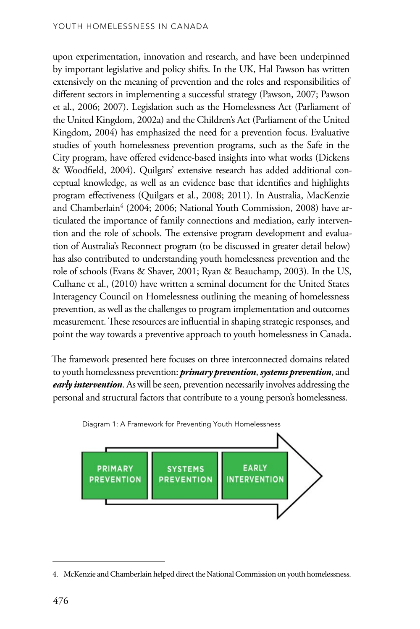upon experimentation, innovation and research, and have been underpinned by important legislative and policy shifts. In the UK, Hal Pawson has written extensively on the meaning of prevention and the roles and responsibilities of different sectors in implementing a successful strategy (Pawson, 2007; Pawson et al., 2006; 2007). Legislation such as the Homelessness Act (Parliament of the United Kingdom, 2002a) and the Children's Act (Parliament of the United Kingdom, 2004) has emphasized the need for a prevention focus. Evaluative studies of youth homelessness prevention programs, such as the Safe in the City program, have offered evidence-based insights into what works (Dickens & Woodfield, 2004). Quilgars' extensive research has added additional conceptual knowledge, as well as an evidence base that identifies and highlights program effectiveness (Quilgars et al., 2008; 2011). In Australia, MacKenzie and Chamberlain<sup>4</sup> (2004; 2006; National Youth Commission, 2008) have ar ticulated the importance of family connections and mediation, early intervention and the role of schools. The extensive program development and evaluation of Australia's Reconnect program (to be discussed in greater detail below) has also contributed to understanding youth homelessness prevention and the role of schools (Evans & Shaver, 2001; Ryan & Beauchamp, 2003). In the US, Culhane et al., (2010) have written a seminal document for the United States Interagency Council on Homelessness outlining the meaning of homelessness prevention, as well as the challenges to program implementation and outcomes measurement. These resources are influential in shaping strategic responses, and point the way towards a preventive approach to youth homelessness in Canada.

The framework presented here focuses on three interconnected domains related to youth homelessness prevention: *primary prevention*, *systems prevention*, and *early intervention*. As will be seen, prevention necessarily involves addressing the personal and structural factors that contribute to a young person's homelessness.



Diagram 1: A Framework for Preventing Youth Homelessness

 4. McKenzie and Chamberlain helped direct the National Commission on youth homelessness.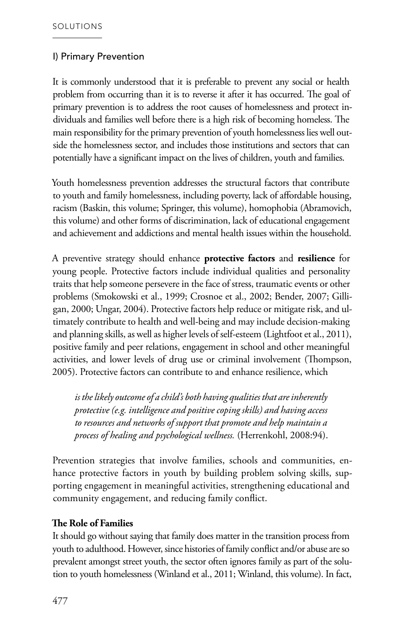#### I) Primary Prevention

It is commonly understood that it is preferable to prevent any social or health problem from occurring than it is to reverse it after it has occurred. The goal of primary prevention is to address the root causes of homelessness and protect individuals and families well before there is a high risk of becoming homeless. The main responsibility for the primary prevention of youth homelessness lies well outside the homelessness sector, and includes those institutions and sectors that can potentially have a significant impact on the lives of children, youth and families.

Youth homelessness prevention addresses the structural factors that contribute to youth and family homelessness, including poverty, lack of affordable housing, racism (Baskin, this volume; Springer, this volume), homophobia (Abramovich, this volume) and other forms of discrimination, lack of educational engagement and achievement and addictions and mental health issues within the household.

A preventive strategy should enhance **protective factors** and **resilience** for young people. Protective factors include individual qualities and personality traits that help someone persevere in the face of stress, traumatic events or other problems (Smokowski et al., 1999; Crosnoe et al., 2002; Bender, 2007; Gilligan, 2000; Ungar, 2004). Protective factors help reduce or mitigate risk, and ultimately contribute to health and well-being and may include decision-making and planning skills, as well as higher levels of self-esteem (Lightfoot et al., 2011), positive family and peer relations, engagement in school and other meaningful activities, and lower levels of drug use or criminal involvement (Thompson, 2005). Protective factors can contribute to and enhance resilience, which

*is the likely outcome of a child's both having qualities that are inherently protective (e.g. intelligence and positive coping skills) and having access to resources and networks of support that promote and help maintain a process of healing and psychological wellness.* (Herrenkohl, 2008:94).

Prevention strategies that involve families, schools and communities, enhance protective factors in youth by building problem solving skills, supporting engagement in meaningful activities, strengthening educational and community engagement, and reducing family conflict.

#### **The Role of Families**

It should go without saying that family does matter in the transition process from youth to adulthood. However, since histories of family conflict and/or abuse are so prevalent amongst street youth, the sector often ignores family as part of the solution to youth homelessness (Winland et al., 2011; Winland, this volume). In fact,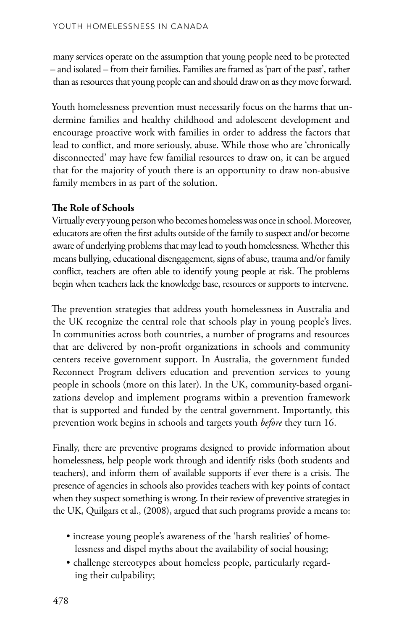many services operate on the assumption that young people need to be protected – and isolated – from their families. Families are framed as 'part of the past', rather than as resources that young people can and should draw on as they move forward.

Youth homelessness prevention must necessarily focus on the harms that undermine families and healthy childhood and adolescent development and encourage proactive work with families in order to address the factors that lead to conflict, and more seriously, abuse. While those who are 'chronically disconnected' may have few familial resources to draw on, it can be argued that for the majority of youth there is an opportunity to draw non-abusive family members in as part of the solution.

#### **The Role of Schools**

Virtually every young person who becomes homeless was once in school. Moreover, educators are often the first adults outside of the family to suspect and/or become aware of underlying problems that may lead to youth homelessness. Whether this means bullying, educational disengagement, signs of abuse, trauma and/or family conflict, teachers are often able to identify young people at risk. The problems begin when teachers lack the knowledge base, resources or supports to intervene.

The prevention strategies that address youth homelessness in Australia and the UK recognize the central role that schools play in young people's lives. In communities across both countries, a number of programs and resources that are delivered by non-profit organizations in schools and community centers receive government support. In Australia, the government funded Reconnect Program delivers education and prevention services to young people in schools (more on this later). In the UK, community-based organi zations develop and implement programs within a prevention framework that is supported and funded by the central government. Importantly, this prevention work begins in schools and targets youth *before* they turn 16. **.** 

Finally, there are preventive programs designed to provide information about homelessness, help people work through and identify risks (both students and teachers), and inform them of available supports if ever there is a crisis. The presence of agencies in schools also provides teachers with key points of contact when they suspect something is wrong. In their review of preventive strategies in the UK, Quilgars et al., (2008), argued that such programs provide a means to:

- increase young people's awareness of the 'harsh realities' of home lessness and dispel myths about the availability of social housing;  $\ddot{\phantom{0}}$
- challenge stereotypes about homeless people, particularly regard ing their culpability;  $\ddot{\phantom{0}}$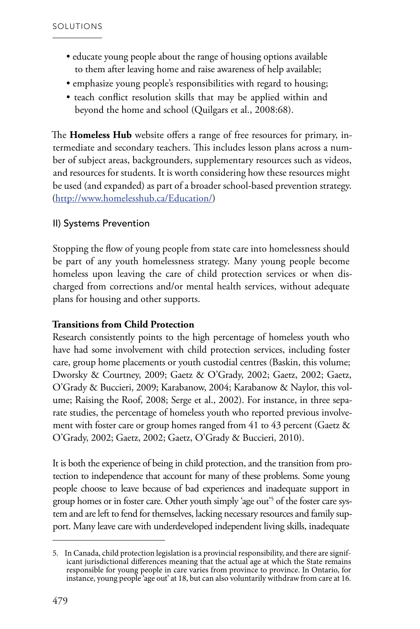- educate young people about the range of housing options available to them after leaving home and raise awareness of help available;
- emphasize young people's responsibilities with regard to housing;
- teach conflict resolution skills that may be applied within and beyond the home and school (Quilgars et al., 2008:68).

The **Homeless Hub** website offers a range of free resources for primary, in termediate and secondary teachers. This includes lesson plans across a num ber of subject areas, backgrounders, supplementary resources such as videos, and resources for students. It is worth considering how these resources might be used (and expanded) as part of a broader school-based prevention strategy. (<http://www.homelesshub.ca/Education/>) .<br>. .<br>.

#### II) Systems Prevention

Stopping the flow of young people from state care into homelessness should be part of any youth homelessness strategy. Many young people become homeless upon leaving the care of child protection services or when dis charged from corrections and/or mental health services, without adequate plans for housing and other supports. .<br>.

#### **Transitions from Child Protection**

Research consistently points to the high percentage of homeless youth who have had some involvement with child protection services, including foster care, group home placements or youth custodial centres (Baskin, this volume; Dworsky & Courtney, 2009; Gaetz & O'Grady, 2002; Gaetz, 2002; Gaetz, O'Grady & Buccieri, 2009; Karabanow, 2004; Karabanow & Naylor, this vol ume; Raising the Roof, 2008; Serge et al., 2002). For instance, in three sepa rate studies, the percentage of homeless youth who reported previous involve ment with foster care or group homes ranged from 41 to 43 percent (Gaetz & O'Grady, 2002; Gaetz, 2002; Gaetz, O'Grady & Buccieri, 2010).  $\ddot{\phantom{0}}$  $\ddot{\phantom{0}}$ j

It is both the experience of being in child protection, and the transition from pro tection to independence that account for many of these problems. Some young people choose to leave because of bad experiences and inadequate support in group homes or in foster care. Other youth simply 'age out'5 of the foster care sys tem and are left to fend for themselves, lacking necessary resources and family sup port. Many leave care with underdeveloped independent living skills, inadequate .<br>. .<br>. .<br>.

<sup>5.</sup> In Canada, child protection legislation is a provincial responsibility, and there are significant jurisdictional differences meaning that the actual age at which the State remains responsible for young people in care varies from province to province. In Ontario, for instance, young people 'age out' at 18, but can also voluntarily withdraw from care at 16.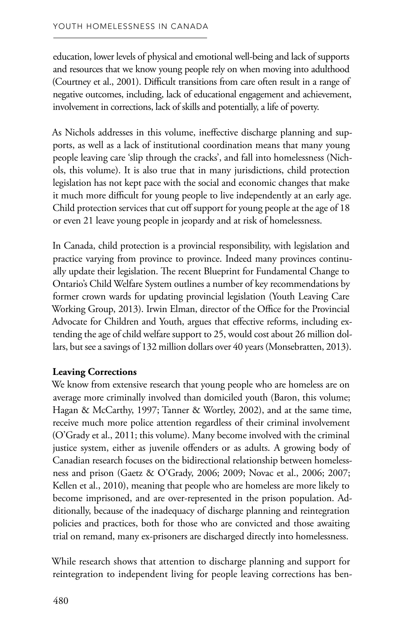education, lower levels of physical and emotional well-being and lack of supports and resources that we know young people rely on when moving into adulthood (Courtney et al., 2001). Difficult transitions from care often result in a range of negative outcomes, including, lack of educational engagement and achievement, involvement in corrections, lack of skills and potentially, a life of poverty.

As Nichols addresses in this volume, ineffective discharge planning and supports, as well as a lack of institutional coordination means that many young people leaving care 'slip through the cracks', and fall into homelessness (Nichols, this volume). It is also true that in many jurisdictions, child protection legislation has not kept pace with the social and economic changes that make it much more difficult for young people to live independently at an early age. Child protection services that cut off support for young people at the age of 18 or even 21 leave young people in jeopardy and at risk of homelessness.

In Canada, child protection is a provincial responsibility, with legislation and practice varying from province to province. Indeed many provinces continually update their legislation. The recent Blueprint for Fundamental Change to Ontario's Child Welfare System outlines a number of key recommendations by former crown wards for updating provincial legislation (Youth Leaving Care Working Group, 2013). Irwin Elman, director of the Office for the Provincial Advocate for Children and Youth, argues that effective reforms, including extending the age of child welfare support to 25, would cost about 26 million dollars, but see a savings of 132 million dollars over 40 years (Monsebratten, 2013).

#### **Leaving Corrections**

We know from extensive research that young people who are homeless are on average more criminally involved than domiciled youth (Baron, this volume; Hagan & McCarthy, 1997; Tanner & Wortley, 2002), and at the same time, receive much more police attention regardless of their criminal involvement (O'Grady et al., 2011; this volume). Many become involved with the criminal justice system, either as juvenile offenders or as adults. A growing body of Canadian research focuses on the bidirectional relationship between homelessness and prison (Gaetz & O'Grady, 2006; 2009; Novac et al., 2006; 2007; Kellen et al., 2010), meaning that people who are homeless are more likely to become imprisoned, and are over-represented in the prison population. Additionally, because of the inadequacy of discharge planning and reintegration policies and practices, both for those who are convicted and those awaiting trial on remand, many ex-prisoners are discharged directly into homelessness.

While research shows that attention to discharge planning and support for reintegration to independent living for people leaving corrections has ben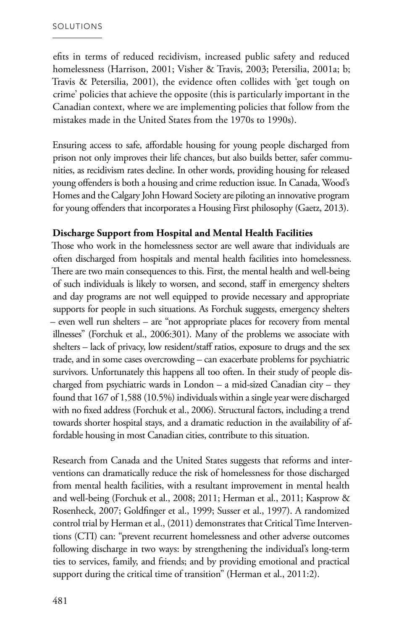efits in terms of reduced recidivism, increased public safety and reduced homelessness (Harrison, 2001; Visher & Travis, 2003; Petersilia, 2001a; b; Travis & Petersilia, 2001), the evidence often collides with 'get tough on crime' policies that achieve the opposite (this is particularly important in the Canadian context, where we are implementing policies that follow from the mistakes made in the United States from the 1970s to 1990s).

Ensuring access to safe, affordable housing for young people discharged from prison not only improves their life chances, but also builds better, safer communities, as recidivism rates decline. In other words, providing housing for released young offenders is both a housing and crime reduction issue. In Canada, Wood's Homes and the Calgary John Howard Society are piloting an innovative program for young offenders that incorporates a Housing First philosophy (Gaetz, 2013).

#### **Discharge Support from Hospital and Mental Health Facilities**

Those who work in the homelessness sector are well aware that individuals are often discharged from hospitals and mental health facilities into homelessness. There are two main consequences to this. First, the mental health and well-being of such individuals is likely to worsen, and second, staff in emergency shelters and day programs are not well equipped to provide necessary and appropriate supports for people in such situations. As Forchuk suggests, emergency shelters – even well run shelters – are "not appropriate places for recovery from mental illnesses" (Forchuk et al., 2006:301). Many of the problems we associate with shelters – lack of privacy, low resident/staff ratios, exposure to drugs and the sex trade, and in some cases overcrowding – can exacerbate problems for psychiatric survivors. Unfortunately this happens all too often. In their study of people discharged from psychiatric wards in London – a mid-sized Canadian city – they found that 167 of 1,588 (10.5%) individuals within a single year were discharged with no fixed address (Forchuk et al., 2006). Structural factors, including a trend towards shorter hospital stays, and a dramatic reduction in the availability of affordable housing in most Canadian cities, contribute to this situation.

Research from Canada and the United States suggests that reforms and interventions can dramatically reduce the risk of homelessness for those discharged from mental health facilities, with a resultant improvement in mental health and well-being (Forchuk et al., 2008; 2011; Herman et al., 2011; Kasprow & Rosenheck, 2007; Goldfinger et al., 1999; Susser et al., 1997). A randomized control trial by Herman et al., (2011) demonstrates that Critical Time Interventions (CTI) can: "prevent recurrent homelessness and other adverse outcomes following discharge in two ways: by strengthening the individual's long-term ties to services, family, and friends; and by providing emotional and practical support during the critical time of transition" (Herman et al., 2011:2).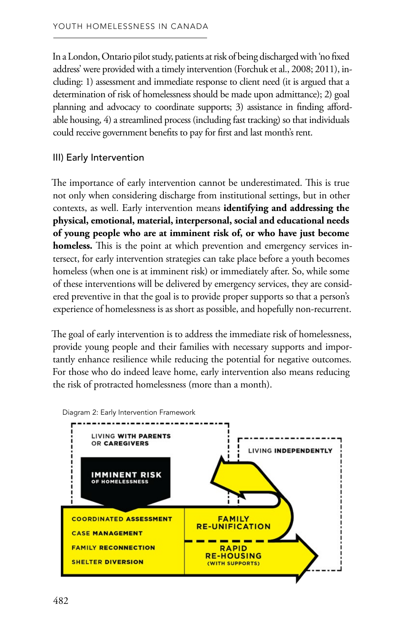In a London, Ontario pilot study, patients at risk of being discharged with 'no fixed address' were provided with a timely intervention (Forchuk et al., 2008; 2011), including: 1) assessment and immediate response to client need (it is argued that a determination of risk of homelessness should be made upon admittance); 2) goal planning and advocacy to coordinate supports; 3) assistance in finding affordable housing, 4) a streamlined process (including fast tracking) so that individuals could receive government benefits to pay for first and last month's rent.

#### III) Early Intervention

The importance of early intervention cannot be underestimated. This is true not only when considering discharge from institutional settings, but in other contexts, as well. Early intervention means **identifying and addressing the physical, emotional, material, interpersonal, social and educational needs of young people who are at imminent risk of, or who have just become homeless.** This is the point at which prevention and emergency services intersect, for early intervention strategies can take place before a youth becomes homeless (when one is at imminent risk) or immediately after. So, while some of these interventions will be delivered by emergency services, they are considered preventive in that the goal is to provide proper supports so that a person's experience of homelessness is as short as possible, and hopefully non-recurrent.

The goal of early intervention is to address the immediate risk of homelessness, provide young people and their families with necessary supports and importantly enhance resilience while reducing the potential for negative outcomes. For those who do indeed leave home, early intervention also means reducing the risk of protracted homelessness (more than a month).



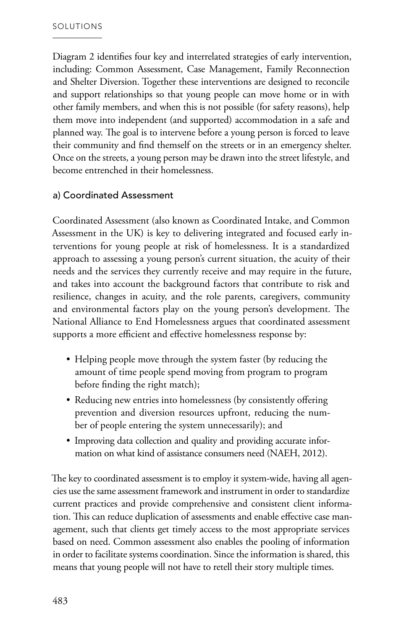Diagram 2 identifies four key and interrelated strategies of early intervention, including: Common Assessment, Case Management, Family Reconnection and Shelter Diversion. Together these interventions are designed to reconcile and support relationships so that young people can move home or in with other family members, and when this is not possible (for safety reasons), help them move into independent (and supported) accommodation in a safe and planned way. The goal is to intervene before a young person is forced to leave their community and find themself on the streets or in an emergency shelter. Once on the streets, a young person may be drawn into the street lifestyle, and become entrenched in their homelessness.

#### a) Coordinated Assessment

Coordinated Assessment (also known as Coordinated Intake, and Common Assessment in the UK) is key to delivering integrated and focused early interventions for young people at risk of homelessness. It is a standardized approach to assessing a young person's current situation, the acuity of their needs and the services they currently receive and may require in the future, and takes into account the background factors that contribute to risk and resilience, changes in acuity, and the role parents, caregivers, community and environmental factors play on the young person's development. The National Alliance to End Homelessness argues that coordinated assessment supports a more efficient and effective homelessness response by:

- Helping people move through the system faster (by reducing the amount of time people spend moving from program to program before finding the right match);
- Reducing new entries into homelessness (by consistently offering prevention and diversion resources upfront, reducing the number of people entering the system unnecessarily); and
- Improving data collection and quality and providing accurate information on what kind of assistance consumers need (NAEH, 2012).

The key to coordinated assessment is to employ it system-wide, having all agencies use the same assessment framework and instrument in order to standardize current practices and provide comprehensive and consistent client information. This can reduce duplication of assessments and enable effective case management, such that clients get timely access to the most appropriate services based on need. Common assessment also enables the pooling of information in order to facilitate systems coordination. Since the information is shared, this means that young people will not have to retell their story multiple times.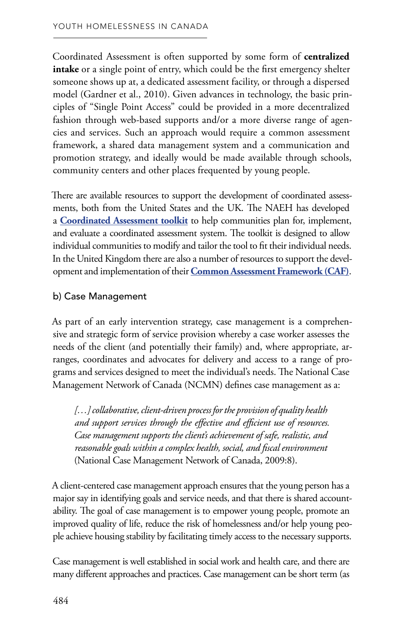Coordinated Assessment is often supported by some form of **centralized intake** or a single point of entry, which could be the first emergency shelter someone shows up at, a dedicated assessment facility, or through a dispersed model (Gardner et al., 2010). Given advances in technology, the basic principles of "Single Point Access" could be provided in a more decentralized fashion through web-based supports and/or a more diverse range of agencies and services. Such an approach would require a common assessment framework, a shared data management system and a communication and promotion strategy, and ideally would be made available through schools, community centers and other places frequented by young people.

There are available resources to support the development of coordinated assessments, both from the United States and the UK. The NAEH has developed a **[Coordinated Assessment toolkit](http://www.endhomelessness.org/library/entry/coordinated-assessment-toolkit)** to help communities plan for, implement, and evaluate a coordinated assessment system. The toolkit is designed to allow individual communities to modify and tailor the tool to fit their individual needs. In the United Kingdom there are also a number of resources to support the development and implementation of their **[Common Assessment Framework \(CAF\)](http://www.education.gov.uk/childrenandyoungpeople/strategy/integratedworking/caf)**.

#### b) Case Management

As part of an early intervention strategy, case management is a comprehensive and strategic form of service provision whereby a case worker assesses the needs of the client (and potentially their family) and, where appropriate, arranges, coordinates and advocates for delivery and access to a range of programs and services designed to meet the individual's needs. The National Case Management Network of Canada (NCMN) defines case management as a:

*[…] collaborative, client-driven process for the provision of quality health and support services through the effective and efficient use of resources. Case management supports the client's achievement of safe, realistic, and reasonable goals within a complex health, social, and fiscal environment*  (National Case Management Network of Canada, 2009:8).

A client-centered case management approach ensures that the young person has a major say in identifying goals and service needs, and that there is shared accountability. The goal of case management is to empower young people, promote an improved quality of life, reduce the risk of homelessness and/or help young people achieve housing stability by facilitating timely access to the necessary supports.

Case management is well established in social work and health care, and there are many different approaches and practices. Case management can be short term (as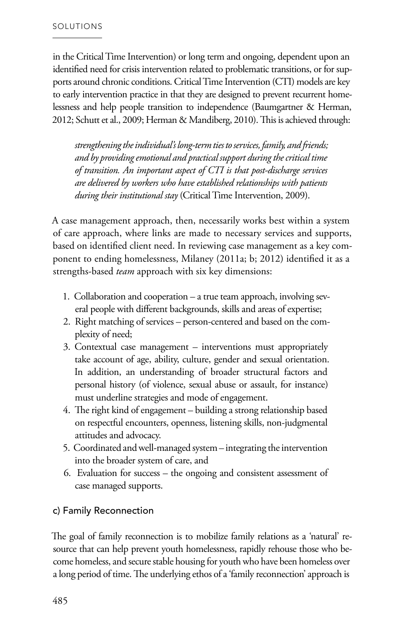in the Critical Time Intervention) or long term and ongoing, dependent upon an identified need for crisis intervention related to problematic transitions, or for sup ports around chronic conditions. Critical Time Intervention (CTI) models are key to early intervention practice in that they are designed to prevent recurrent home lessness and help people transition to independence (Baumgartner & Herman, 2012; Schutt et al., 2009; Herman & Mandiberg, 2010). This is achieved through: **.** ì

*strengthening the individual's long-term ties to services, family, and friends; and by providing emotional and practical support during the critical time of transition. An important aspect of CTI is that post-discharge services are delivered by workers who have established relationships with patients during their institutional stay* (Critical Time Intervention, 2009).

A case management approach, then, necessarily works best within a system of care approach, where links are made to necessary services and supports, based on identified client need. In reviewing case management as a key com ponent to ending homelessness, Milaney (2011a; b; 2012) identified it as a strengths-based *team* approach with six key dimensions: **.** 

- 1. Collaboration and cooperation a true team approach, involving sev eral people with different backgrounds, skills and areas of expertise;  $\ddot{\phantom{0}}$
- 2. Right matching of services person-centered and based on the complexity of need; .<br>.
- 3. Contextual case management interventions must appropriately take account of age, ability, culture, gender and sexual orientation. In addition, an understanding of broader structural factors and personal history (of violence, sexual abuse or assault, for instance) must underline strategies and mode of engagement.
- 4. The right kind of engagement building a strong relationship based on respectful encounters, openness, listening skills, non-judgmental attitudes and advocacy.
- 5. Coordinated and well-managed system integrating the intervention into the broader system of care, and
- 6. Evaluation for success the ongoing and consistent assessment of case managed supports.

#### c) Family Reconnection

The goal of family reconnection is to mobilize family relations as a 'natural' re source that can help prevent youth homelessness, rapidly rehouse those who be come homeless, and secure stable housing for youth who have been homeless over a long period of time. The underlying ethos of a 'family reconnection' approach is  $\ddot{\phantom{0}}$ ì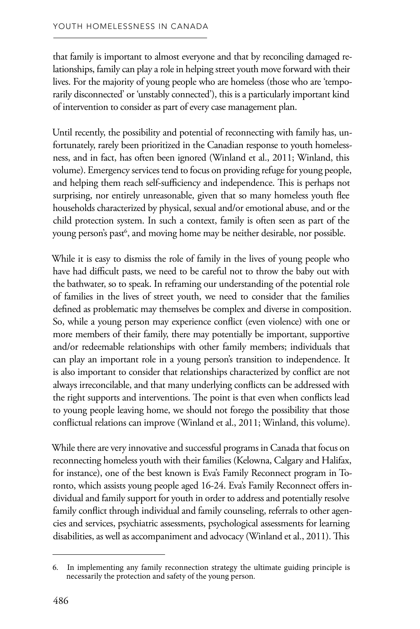that family is important to almost everyone and that by reconciling damaged relationships, family can play a role in helping street youth move forward with their lives. For the majority of young people who are homeless (those who are 'temporarily disconnected' or 'unstably connected'), this is a particularly important kind of intervention to consider as part of every case management plan.

Until recently, the possibility and potential of reconnecting with family has, unfortunately, rarely been prioritized in the Canadian response to youth homelessness, and in fact, has often been ignored (Winland et al., 2011; Winland, this volume). Emergency services tend to focus on providing refuge for young people, and helping them reach self-sufficiency and independence. This is perhaps not surprising, nor entirely unreasonable, given that so many homeless youth flee households characterized by physical, sexual and/or emotional abuse, and or the child protection system. In such a context, family is often seen as part of the young person's past<sup>6</sup>, and moving home may be neither desirable, nor possible.

While it is easy to dismiss the role of family in the lives of young people who have had difficult pasts, we need to be careful not to throw the baby out with the bathwater, so to speak. In reframing our understanding of the potential role of families in the lives of street youth, we need to consider that the families defined as problematic may themselves be complex and diverse in composition. So, while a young person may experience conflict (even violence) with one or more members of their family, there may potentially be important, supportive and/or redeemable relationships with other family members; individuals that can play an important role in a young person's transition to independence. It is also important to consider that relationships characterized by conflict are not always irreconcilable, and that many underlying conflicts can be addressed with the right supports and interventions. The point is that even when conflicts lead to young people leaving home, we should not forego the possibility that those conflictual relations can improve (Winland et al., 2011; Winland, this volume).

While there are very innovative and successful programs in Canada that focus on reconnecting homeless youth with their families (Kelowna, Calgary and Halifax, for instance), one of the best known is Eva's Family Reconnect program in Toronto, which assists young people aged 16-24. Eva's Family Reconnect offers individual and family support for youth in order to address and potentially resolve family conflict through individual and family counseling, referrals to other agencies and services, psychiatric assessments, psychological assessments for learning disabilities, as well as accompaniment and advocacy (Winland et al., 2011). This

<sup>6.</sup>  In implementing any family reconnection strategy the ultimate guiding principle is necessarily the protection and safety of the young person.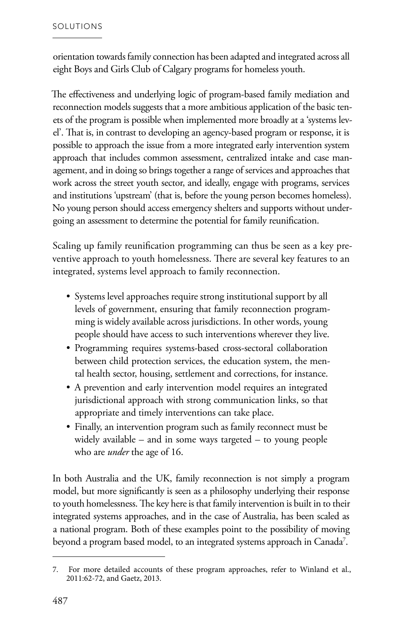orientation towards family connection has been adapted and integrated across all eight Boys and Girls Club of Calgary programs for homeless youth.

The effectiveness and underlying logic of program-based family mediation and reconnection models suggests that a more ambitious application of the basic tenets of the program is possible when implemented more broadly at a 'systems level'. That is, in contrast to developing an agency-based program or response, it is possible to approach the issue from a more integrated early intervention system approach that includes common assessment, centralized intake and case management, and in doing so brings together a range of services and approaches that work across the street youth sector, and ideally, engage with programs, services and institutions 'upstream' (that is, before the young person becomes homeless). No young person should access emergency shelters and supports without undergoing an assessment to determine the potential for family reunification.

Scaling up family reunification programming can thus be seen as a key preventive approach to youth homelessness. There are several key features to an integrated, systems level approach to family reconnection.

- Systems level approaches require strong institutional support by all levels of government, ensuring that family reconnection programming is widely available across jurisdictions. In other words, young people should have access to such interventions wherever they live.
- Programming requires systems-based cross-sectoral collaboration between child protection services, the education system, the mental health sector, housing, settlement and corrections, for instance.
- A prevention and early intervention model requires an integrated jurisdictional approach with strong communication links, so that appropriate and timely interventions can take place.
- Finally, an intervention program such as family reconnect must be widely available – and in some ways targeted – to young people who are *under* the age of 16.

In both Australia and the UK, family reconnection is not simply a program model, but more significantly is seen as a philosophy underlying their response to youth homelessness. The key here is that family intervention is built in to their integrated systems approaches, and in the case of Australia, has been scaled as a national program. Both of these examples point to the possibility of moving beyond a program based model, to an integrated systems approach in Canada<sup>7</sup>.

<sup>7.</sup> For more detailed accounts of these program approaches, refer to Winland et al., 2011:62-72, and Gaetz, 2013.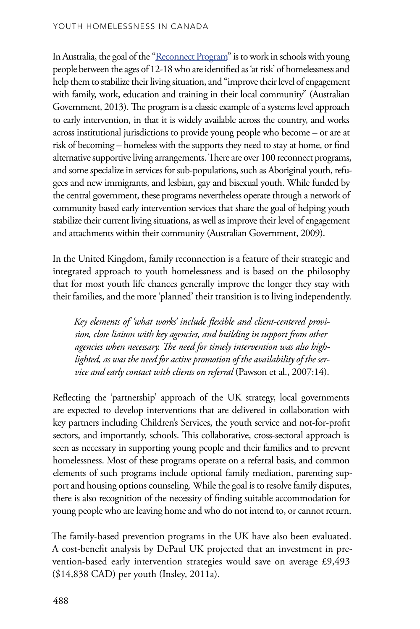In Australia, the goal of the ["Reconnect Program"](http://www.fahcsia.gov.au/our-responsibilities/housing-support/programs-services/homelessness/reconnect) is to work in schools with young people between the ages of 12-18 who are identified as 'at risk' of homelessness and help them to stabilize their living situation, and "improve their level of engagement with family, work, education and training in their local community" (Australian Government, 2013). The program is a classic example of a systems level approach to early intervention, in that it is widely available across the country, and works across institutional jurisdictions to provide young people who become – or are at risk of becoming – homeless with the supports they need to stay at home, or find alternative supportive living arrangements. There are over 100 reconnect programs, and some specialize in services for sub-populations, such as Aboriginal youth, refugees and new immigrants, and lesbian, gay and bisexual youth. While funded by the central government, these programs nevertheless operate through a network of community based early intervention services that share the goal of helping youth stabilize their current living situations, as well as improve their level of engagement and attachments within their community (Australian Government, 2009).

In the United Kingdom, family reconnection is a feature of their strategic and integrated approach to youth homelessness and is based on the philosophy that for most youth life chances generally improve the longer they stay with their families, and the more 'planned' their transition is to living independently.

*Key elements of 'what works' include flexible and client-centered provision, close liaison with key agencies, and building in support from other agencies when necessary. The need for timely intervention was also highlighted, as was the need for active promotion of the availability of the service and early contact with clients on referral* (Pawson et al., 2007:14).

Reflecting the 'partnership' approach of the UK strategy, local governments are expected to develop interventions that are delivered in collaboration with key partners including Children's Services, the youth service and not-for-profit sectors, and importantly, schools. This collaborative, cross-sectoral approach is seen as necessary in supporting young people and their families and to prevent homelessness. Most of these programs operate on a referral basis, and common elements of such programs include optional family mediation, parenting support and housing options counseling. While the goal is to resolve family disputes, there is also recognition of the necessity of finding suitable accommodation for young people who are leaving home and who do not intend to, or cannot return.

The family-based prevention programs in the UK have also been evaluated. A cost-benefit analysis by DePaul UK projected that an investment in prevention-based early intervention strategies would save on average £9,493 (\$14,838 CAD) per youth (Insley, 2011a).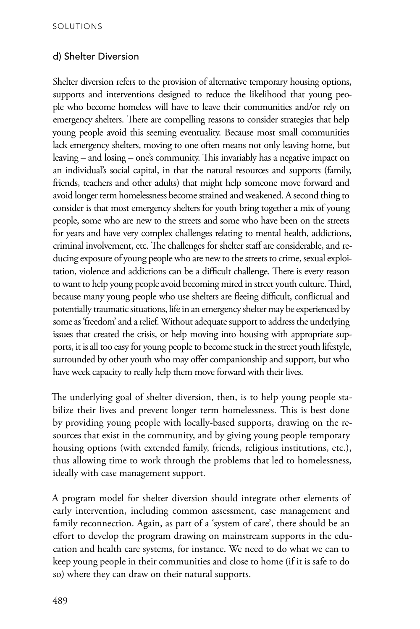#### d) Shelter Diversion

Shelter diversion refers to the provision of alternative temporary housing options, supports and interventions designed to reduce the likelihood that young people who become homeless will have to leave their communities and/or rely on emergency shelters. There are compelling reasons to consider strategies that help young people avoid this seeming eventuality. Because most small communities lack emergency shelters, moving to one often means not only leaving home, but leaving – and losing – one's community. This invariably has a negative impact on an individual's social capital, in that the natural resources and supports (family, friends, teachers and other adults) that might help someone move forward and avoid longer term homelessness become strained and weakened. A second thing to consider is that most emergency shelters for youth bring together a mix of young people, some who are new to the streets and some who have been on the streets for years and have very complex challenges relating to mental health, addictions, criminal involvement, etc. The challenges for shelter staff are considerable, and reducing exposure of young people who are new to the streets to crime, sexual exploitation, violence and addictions can be a difficult challenge. There is every reason to want to help young people avoid becoming mired in street youth culture. Third, because many young people who use shelters are fleeing difficult, conflictual and potentially traumatic situations, life in an emergency shelter may be experienced by some as 'freedom' and a relief. Without adequate support to address the underlying issues that created the crisis, or help moving into housing with appropriate supports, it is all too easy for young people to become stuck in the street youth lifestyle, surrounded by other youth who may offer companionship and support, but who have week capacity to really help them move forward with their lives.

The underlying goal of shelter diversion, then, is to help young people stabilize their lives and prevent longer term homelessness. This is best done by providing young people with locally-based supports, drawing on the resources that exist in the community, and by giving young people temporary housing options (with extended family, friends, religious institutions, etc.), thus allowing time to work through the problems that led to homelessness, ideally with case management support.

A program model for shelter diversion should integrate other elements of early intervention, including common assessment, case management and family reconnection. Again, as part of a 'system of care', there should be an effort to develop the program drawing on mainstream supports in the education and health care systems, for instance. We need to do what we can to keep young people in their communities and close to home (if it is safe to do so) where they can draw on their natural supports.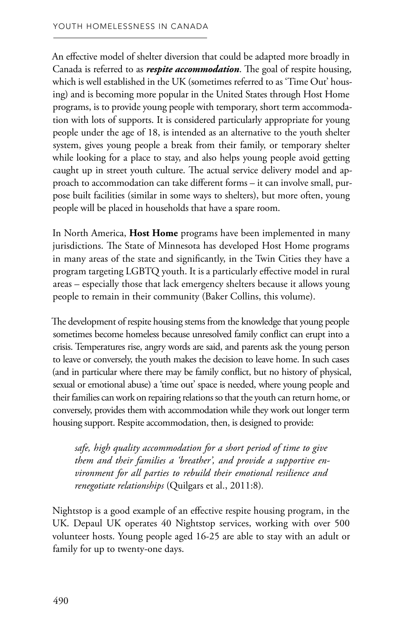An effective model of shelter diversion that could be adapted more broadly in Canada is referred to as *respite accommodation*. The goal of respite housing, which is well established in the UK (sometimes referred to as 'Time Out' housing) and is becoming more popular in the United States through Host Home programs, is to provide young people with temporary, short term accommodation with lots of supports. It is considered particularly appropriate for young people under the age of 18, is intended as an alternative to the youth shelter system, gives young people a break from their family, or temporary shelter while looking for a place to stay, and also helps young people avoid getting caught up in street youth culture. The actual service delivery model and approach to accommodation can take different forms – it can involve small, purpose built facilities (similar in some ways to shelters), but more often, young people will be placed in households that have a spare room.

In North America, **Host Home** programs have been implemented in many jurisdictions. The State of Minnesota has developed Host Home programs in many areas of the state and significantly, in the Twin Cities they have a program targeting LGBTQ youth. It is a particularly effective model in rural areas – especially those that lack emergency shelters because it allows young people to remain in their community (Baker Collins, this volume).

The development of respite housing stems from the knowledge that young people sometimes become homeless because unresolved family conflict can erupt into a crisis. Temperatures rise, angry words are said, and parents ask the young person to leave or conversely, the youth makes the decision to leave home. In such cases (and in particular where there may be family conflict, but no history of physical, sexual or emotional abuse) a 'time out' space is needed, where young people and their families can work on repairing relations so that the youth can return home, or conversely, provides them with accommodation while they work out longer term housing support. Respite accommodation, then, is designed to provide:

*safe, high quality accommodation for a short period of time to give them and their families a 'breather', and provide a supportive environment for all parties to rebuild their emotional resilience and renegotiate relationships* (Quilgars et al., 2011:8)*.* 

Nightstop is a good example of an effective respite housing program, in the UK. Depaul UK operates 40 Nightstop services, working with over 500 volunteer hosts. Young people aged 16-25 are able to stay with an adult or family for up to twenty-one days.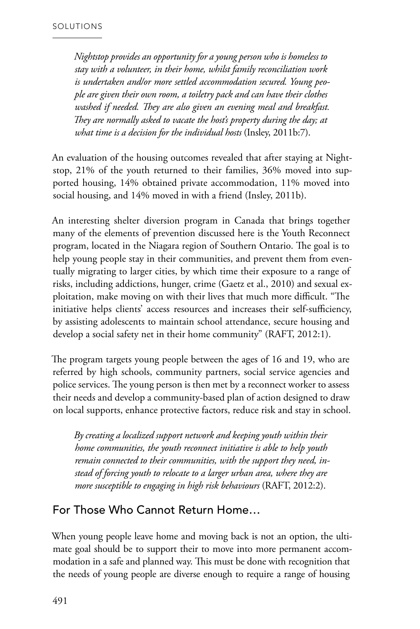*Nightstop provides an opportunity for a young person who is homeless to stay with a volunteer, in their home, whilst family reconciliation work is undertaken and/or more settled accommodation secured. Young people are given their own room, a toiletry pack and can have their clothes washed if needed. They are also given an evening meal and breakfast. They are normally asked to vacate the host's property during the day; at what time is a decision for the individual hosts* (Insley, 2011b:7).

An evaluation of the housing outcomes revealed that after staying at Nightstop, 21% of the youth returned to their families, 36% moved into supported housing, 14% obtained private accommodation, 11% moved into social housing, and 14% moved in with a friend (Insley, 2011b).

An interesting shelter diversion program in Canada that brings together many of the elements of prevention discussed here is the Youth Reconnect program, located in the Niagara region of Southern Ontario. The goal is to help young people stay in their communities, and prevent them from eventually migrating to larger cities, by which time their exposure to a range of risks, including addictions, hunger, crime (Gaetz et al., 2010) and sexual exploitation, make moving on with their lives that much more difficult. "The initiative helps clients' access resources and increases their self-sufficiency, by assisting adolescents to maintain school attendance, secure housing and develop a social safety net in their home community" (RAFT, 2012:1).

The program targets young people between the ages of 16 and 19, who are referred by high schools, community partners, social service agencies and police services. The young person is then met by a reconnect worker to assess their needs and develop a community-based plan of action designed to draw on local supports, enhance protective factors, reduce risk and stay in school.

*By creating a localized support network and keeping youth within their home communities, the youth reconnect initiative is able to help youth remain connected to their communities, with the support they need, instead of forcing youth to relocate to a larger urban area, where they are more susceptible to engaging in high risk behaviours* (RAFT, 2012:2).

### For Those Who Cannot Return Home…

When young people leave home and moving back is not an option, the ultimate goal should be to support their to move into more permanent accommodation in a safe and planned way. This must be done with recognition that the needs of young people are diverse enough to require a range of housing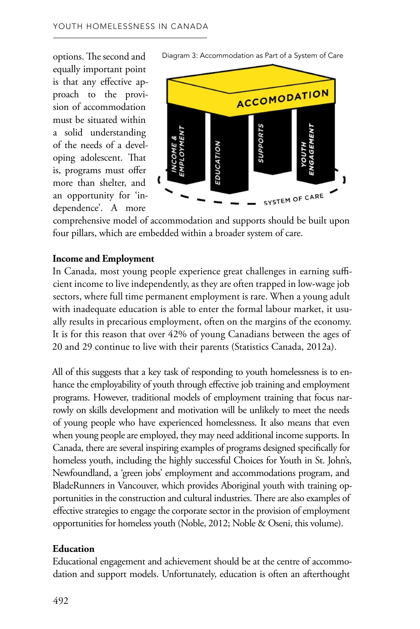options. The second and equally important point is that any effective ap proach to the provi sion of accommodation must be situated within a solid understanding of the needs of a devel oping adolescent. That is, programs must offer more than shelter, and an opportunity for 'in dependence'. A more **. :**  $\ddot{\phantom{0}}$  $\ddot{\phantom{0}}$ 





comprehensive model of accommodation and supports should be built upon four pillars, which are embedded within a broader system of care.

#### **Income and Employment**

In Canada, most young people experience great challenges in earning suffi cient income to live independently, as they are often trapped in low-wage job sectors, where full time permanent employment is rare. When a young adult with inadequate education is able to enter the formal labour market, it usu ally results in precarious employment, often on the margins of the economy. It is for this reason that over 42% of young Canadians between the ages of 20 and 29 continue to live with their parents (Statistics Canada, 2012a). .<br>.  $\ddot{\phantom{0}}$ 

All of this suggests that a key task of responding to youth homelessness is to en hance the employability of youth through effective job training and employment programs. However, traditional models of employment training that focus nar rowly on skills development and motivation will be unlikely to meet the needs of young people who have experienced homelessness. It also means that even when young people are employed, they may need additional income supports. In Canada, there are several inspiring examples of programs designed specifically for homeless youth, including the highly successful Choices for Youth in St. John's, Newfoundland, a 'green jobs' employment and accommodations program, and BladeRunners in Vancouver, which provides Aboriginal youth with training op portunities in the construction and cultural industries. There are also examples of effective strategies to engage the corporate sector in the provision of employment opportunities for homeless youth (Noble, 2012; Noble & Oseni, this volume).  $\ddot{\phantom{0}}$ ֧֡֝֟֟֓<u>֚</u><br>֧ .<br>.

#### **Education**

Educational engagement and achievement should be at the centre of accommo dation and support models. Unfortunately, education is often an afterthought .<br>.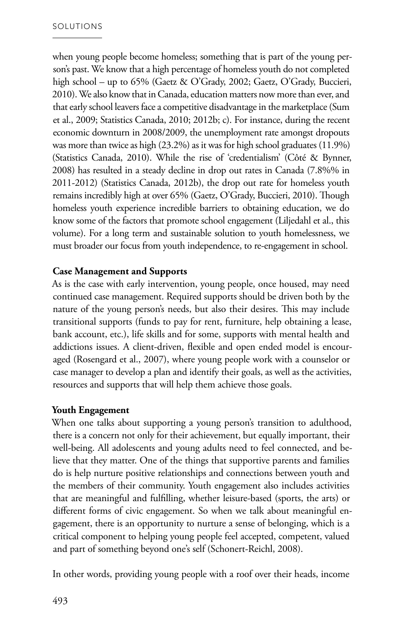when young people become homeless; something that is part of the young person's past. We know that a high percentage of homeless youth do not completed high school – up to 65% (Gaetz & O'Grady, 2002; Gaetz, O'Grady, Buccieri, 2010). We also know that in Canada, education matters now more than ever, and that early school leavers face a competitive disadvantage in the marketplace (Sum et al., 2009; Statistics Canada, 2010; 2012b; c). For instance, during the recent economic downturn in 2008/2009, the unemployment rate amongst dropouts was more than twice as high (23.2%) as it was for high school graduates (11.9%) (Statistics Canada, 2010). While the rise of 'credentialism' (Côté & Bynner, 2008) has resulted in a steady decline in drop out rates in Canada (7.8%% in 2011-2012) (Statistics Canada, 2012b), the drop out rate for homeless youth remains incredibly high at over 65% (Gaetz, O'Grady, Buccieri, 2010). Though homeless youth experience incredible barriers to obtaining education, we do know some of the factors that promote school engagement (Liljedahl et al., this volume). For a long term and sustainable solution to youth homelessness, we must broader our focus from youth independence, to re-engagement in school.

#### **Case Management and Supports**

As is the case with early intervention, young people, once housed, may need continued case management. Required supports should be driven both by the nature of the young person's needs, but also their desires. This may include transitional supports (funds to pay for rent, furniture, help obtaining a lease, bank account, etc.), life skills and for some, supports with mental health and addictions issues. A client-driven, flexible and open ended model is encouraged (Rosengard et al., 2007), where young people work with a counselor or case manager to develop a plan and identify their goals, as well as the activities, resources and supports that will help them achieve those goals.

#### **Youth Engagement**

When one talks about supporting a young person's transition to adulthood, there is a concern not only for their achievement, but equally important, their well-being. All adolescents and young adults need to feel connected, and believe that they matter. One of the things that supportive parents and families do is help nurture positive relationships and connections between youth and the members of their community. Youth engagement also includes activities that are meaningful and fulfilling, whether leisure-based (sports, the arts) or different forms of civic engagement. So when we talk about meaningful engagement, there is an opportunity to nurture a sense of belonging, which is a critical component to helping young people feel accepted, competent, valued and part of something beyond one's self (Schonert-Reichl, 2008).

In other words, providing young people with a roof over their heads, income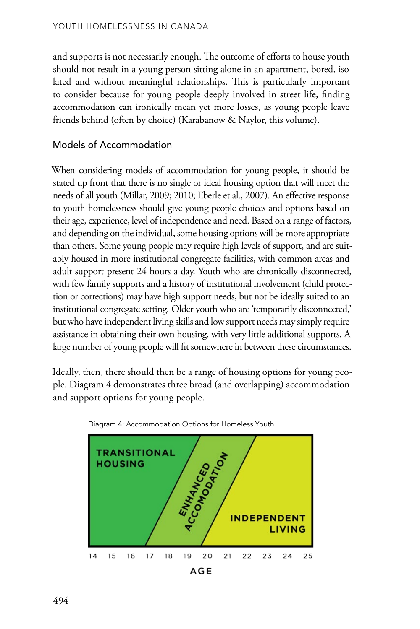and supports is not necessarily enough. The outcome of efforts to house youth should not result in a young person sitting alone in an apartment, bored, isolated and without meaningful relationships. This is particularly important to consider because for young people deeply involved in street life, finding accommodation can ironically mean yet more losses, as young people leave friends behind (often by choice) (Karabanow & Naylor, this volume).

#### Models of Accommodation

When considering models of accommodation for young people, it should be stated up front that there is no single or ideal housing option that will meet the needs of all youth (Millar, 2009; 2010; Eberle et al., 2007). An effective response to youth homelessness should give young people choices and options based on their age, experience, level of independence and need. Based on a range of factors, and depending on the individual, some housing options will be more appropriate than others. Some young people may require high levels of support, and are suitably housed in more institutional congregate facilities, with common areas and adult support present 24 hours a day. Youth who are chronically disconnected, with few family supports and a history of institutional involvement (child protection or corrections) may have high support needs, but not be ideally suited to an institutional congregate setting. Older youth who are 'temporarily disconnected,' but who have independent living skills and low support needs may simply require assistance in obtaining their own housing, with very little additional supports. A large number of young people will fit somewhere in between these circumstances.

Ideally, then, there should then be a range of housing options for young people. Diagram 4 demonstrates three broad (and overlapping) accommodation and support options for young people.



Diagram 4: Accommodation Options for Homeless Youth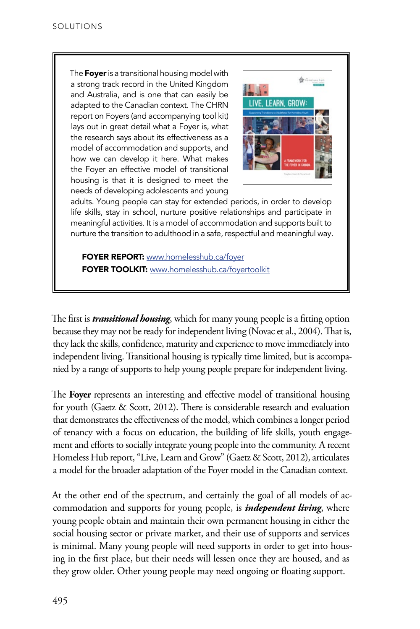The Foyer is a transitional housing model with a strong track record in the United Kingdom and Australia, and is one that can easily be adapted to the Canadian context. The CHRN report on Foyers (and accompanying tool kit) lays out in great detail what a Foyer is, what the research says about its effectiveness as a model of accommodation and supports, and how we can develop it here. What makes the Foyer an effective model of transitional housing is that it is designed to meet the needs of developing adolescents and young



adults. Young people can stay for extended periods, in order to develop life skills, stay in school, nurture positive relationships and participate in meaningful activities. It is a model of accommodation and supports built to nurture the transition to adulthood in a safe, respectful and meaningful way.

FOYER REPORT: [www.homelesshub.ca/foyer](http://www.homelesshub.ca/resource/live-learn-grow-supporting-transitions-adulthood-homeless-youth) FOYER TOOLKIT: [www.homelesshub.ca/foyertoolkit](http://www.homelesshub.ca/resource/foyer-toolkit)

The first is *transitional housing*, which for many young people is a fitting option because they may not be ready for independent living (Novac et al., 2004). That is, they lack the skills, confidence, maturity and experience to move immediately into independent living. Transitional housing is typically time limited, but is accompanied by a range of supports to help young people prepare for independent living.

The **Foyer** represents an interesting and effective model of transitional housing for youth (Gaetz & Scott, 2012). There is considerable research and evaluation that demonstrates the effectiveness of the model, which combines a longer period of tenancy with a focus on education, the building of life skills, youth engagement and efforts to socially integrate young people into the community. A recent Homeless Hub report, "Live, Learn and Grow" (Gaetz & Scott, 2012), articulates a model for the broader adaptation of the Foyer model in the Canadian context.

At the other end of the spectrum, and certainly the goal of all models of accommodation and supports for young people, is *independent living*, where young people obtain and maintain their own permanent housing in either the social housing sector or private market, and their use of supports and services is minimal. Many young people will need supports in order to get into housing in the first place, but their needs will lessen once they are housed, and as they grow older. Other young people may need ongoing or floating support.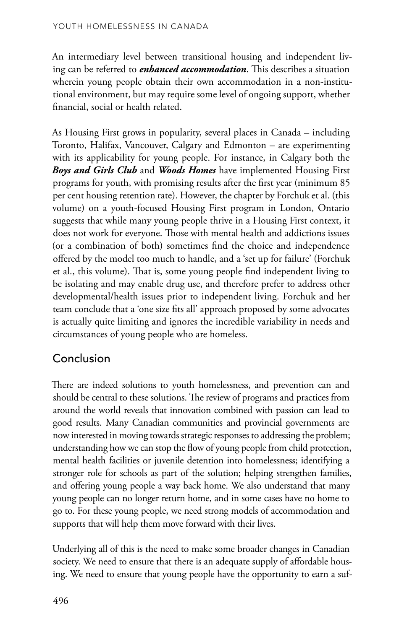An intermediary level between transitional housing and independent living can be referred to *enhanced accommodation*. This describes a situation wherein young people obtain their own accommodation in a non-institutional environment, but may require some level of ongoing support, whether financial, social or health related.

As Housing First grows in popularity, several places in Canada – including Toronto, Halifax, Vancouver, Calgary and Edmonton – are experimenting with its applicability for young people. For instance, in Calgary both the *Boys and Girls Club* and *Woods Homes* have implemented Housing First programs for youth, with promising results after the first year (minimum 85 per cent housing retention rate). However, the chapter by Forchuk et al. (this volume) on a youth-focused Housing First program in London, Ontario suggests that while many young people thrive in a Housing First context, it does not work for everyone. Those with mental health and addictions issues (or a combination of both) sometimes find the choice and independence offered by the model too much to handle, and a 'set up for failure' (Forchuk et al., this volume). That is, some young people find independent living to be isolating and may enable drug use, and therefore prefer to address other developmental/health issues prior to independent living. Forchuk and her team conclude that a 'one size fits all' approach proposed by some advocates is actually quite limiting and ignores the incredible variability in needs and circumstances of young people who are homeless.

## Conclusion

There are indeed solutions to youth homelessness, and prevention can and should be central to these solutions. The review of programs and practices from around the world reveals that innovation combined with passion can lead to good results. Many Canadian communities and provincial governments are now interested in moving towards strategic responses to addressing the problem; understanding how we can stop the flow of young people from child protection, mental health facilities or juvenile detention into homelessness; identifying a stronger role for schools as part of the solution; helping strengthen families, and offering young people a way back home. We also understand that many young people can no longer return home, and in some cases have no home to go to. For these young people, we need strong models of accommodation and supports that will help them move forward with their lives.

Underlying all of this is the need to make some broader changes in Canadian society. We need to ensure that there is an adequate supply of affordable housing. We need to ensure that young people have the opportunity to earn a suf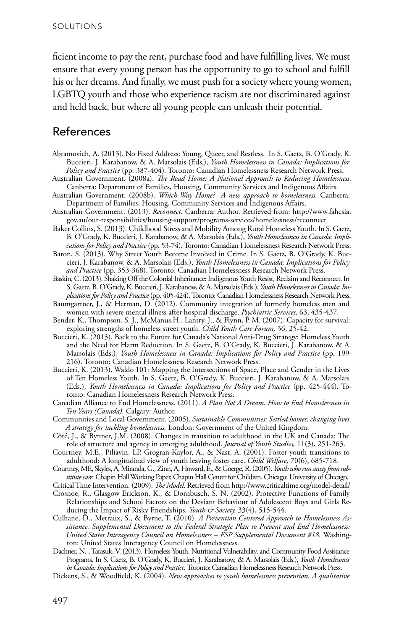ficient income to pay the rent, purchase food and have fulfilling lives. We must ensure that every young person has the opportunity to go to school and fulfill his or her dreams. And finally, we must push for a society where young women, LGBTQ youth and those who experience racism are not discriminated against and held back, but where all young people can unleash their potential.

#### References

- Abramovich, A. (2013). No Fixed Address: Young, Queer, and Restless. In S. Gaetz, B. O'Grady, K. Buccieri, J. Karabanow, & A. Marsolais (Eds.), *Youth Homelessness in Canada: Implications for Policy and Practice* (pp. 387-404)*.* Toronto: Canadian Homelessness Research Network Press.
- Australian Government. (2008a). *The Road Home: A National Approach to Reducing Homelessness.* Canberra: Department of Families, Housing, Community Services and Indigenous Affairs.
- Australian Government. (2008b). *Which Way Home? A new approach to homelessness.* Canberra: Department of Families, Housing, Community Services and Indigenous Affairs.
- Australian Government. (2013). *Reconnect.* Canberra: Author. Retrieved from: http://www.fahcsia. gov.au/our-responsibilities/housing-support/programs-services/homelessness/reconnect
- Baker Collins, S. (2013). Childhood Stress and Mobility Among Rural Homeless Youth. In S. Gaetz, B. O'Grady, K. Buccieri, J. Karabanow, & A. Marsolais (Eds.), *Youth Homelessness in Canada: Implications for Policy and Practice* (pp. 53-74)*.* Toronto: Canadian Homelessness Research Network Press.
- Baron, S. (2013). Why Street Youth Become Involved in Crime. In S. Gaetz, B. O'Grady, K. Buccieri, J. Karabanow, & A. Marsolais (Eds.), *Youth Homelessness in Canada: Implications for Policy and Practice* (pp. 353-368). Toronto: Canadian Homelessness Research Network Press.
- Baskin, C. (2013). Shaking Off the Colonial Inheritance: Indigenous Youth Resist, Reclaim and Reconnect. In S. Gaetz, B. O'Grady, K. Buccieri, J. Karabanow, & A. Marsolais (Eds.),*Youth Homelessness in Canada: Implications for Policy and Practice* (pp. 405-424). Toronto: Canadian Homelessness Research Network Press.
- Baumgartner, J., & Herman, D. (2012). Community integration of formerly homeless men and women with severe mental illness after hospital discharge. *Psychiatric Services,* 63, 435-437.
- Bender, K., Thompson, S. J., McManus,H., Lantry, J., & Flynn, P. M. (2007). Capacity for survival: exploring strengths of homeless street youth. *Child Youth Care Forum,* 36, 25-42.
- Buccieri, K. (2013). Back to the Future for Canada's National Anti-Drug Strategy: Homeless Youth and the Need for Harm Reduction. In S. Gaetz, B. O'Grady, K. Buccieri, J. Karabanow, & A. Marsolais (Eds.), *Youth Homelessness in Canada: Implications for Policy and Practice* (pp. 199 216). Toronto: Canadian Homelessness Research Network Press.
- Buccieri, K. (2013). Waldo 101: Mapping the Intersections of Space, Place and Gender in the Lives of Ten Homeless Youth. In S. Gaetz, B. O'Grady, K. Buccieri, J. Karabanow, & A. Marsolais (Eds.), *Youth Homelessness in Canada: Implications for Policy and Practice* (pp. 425-444). Toronto: Canadian Homelessness Research Network Press.
- Canadian Alliance to End Homelessness. (2011). *A Plan Not A Dream. How to End Homelessness in Ten Years (Canada).* Calgary: Author.
- Communities and Local Government. (2005). *Sustainable Communities: Settled homes; changing lives. A strategy for tackling homelessness.* London: Government of the United Kingdom.
- Côté, J., & Bynner, J.M. (2008). Changes in transition to adulthood in the UK and Canada: The role of structure and agency in emerging adulthood. *Journal of Youth Studies,* 11(3), 251-263.
- Courtney, M.E., Piliavin, LP. Grogran-Kaylor, A., & Nast, A. (2001). Foster youth transitions to adulthood: A longitudinal view of youth leaving foster care. *Child Welfare,* 70(6), 685-718.
- Courtney, ME, Skyles, A, Miranda, G., Zinn, A, Howard, E., & Goerge, R. (2005). *Youth who run away from substitute care.* Chapin Hall Working Paper, Chapin Hall Center for Children. Chicago: University of Chicago.
- Critical Time Intervention. (2009). *The Model*. Retrieved from http://www.criticaltime.org/model-detail/
- Crosnoe, R., Glasgow Erickson, K., & Dornbusch, S. N. (2002). Protective Functions of Family Relationships and School Factors on the Deviant Behaviour of Adolescent Boys and Girls Reducing the Impact of Risky Friendships. *Youth & Society*. 33(4), 515-544.
- Culhane, D., Metraux, S., & Byrne, T. (2010). *A Prevention Centered Approach to Homelessness Assistance. Supplemental Document to the Federal Strategic Plan to Prevent and End Homelessness: United States Interagency Council on Homelessness – FSP Supplemental Document #18.* Washington: United States Interagency Council on Homelessness.
- Dachner, N. , Tarasuk, V. (2013). Homeless Youth, Nutritional Vulnerability, and Community Food Assistance Programs. In S. Gaetz, B. O'Grady, K. Buccieri, J. Karabanow, & A. Marsolais (Eds.), *Youth Homelessness in Canada: Implications for Policy and Practice.* Toronto: Canadian Homelessness Research Network Press.
- Dickens, S., & Woodfield, K. (2004). *New approaches to youth homelessness prevention. A qualitative*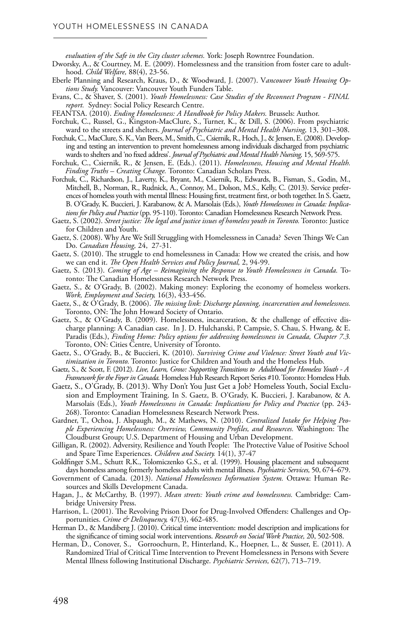*evaluation of the Safe in the City cluster schemes.* York: Joseph Rowntree Foundation.

- Dworsky, A., & Courtney, M. E. (2009). Homelessness and the transition from foster care to adulthood. *Child Welfare,* 88(4), 23-56.
- Eberle Planning and Research, Kraus, D., & Woodward, J. (2007). V*ancouver Youth Housing Options Study.* Vancouver: Vancouver Youth Funders Table.
- Evans, C., & Shaver, S. (2001). *Youth Homelessness: Case Studies of the Reconnect Program FINAL report.* Sydney: Social Policy Research Centre.
- FEANTSA. (2010). *Ending Homelessness: A Handbook for Policy Makers.* Brussels: Author.
- Forchuk, C., Russel, G., Kingston-MacClure, S., Turner, K., & Dill, S. (2006). From psychiatric ward to the streets and shelters. *Journal of Psychiatric and Mental Health Nursing,* 13, 301–308.
- Forchuk, C., MacClure, S. K., Van Beers, M., Smith, C., Csiernik, R., Hoch, J., & Jensen, E. (2008). Developing and testing an intervention to prevent homelessness among individuals discharged from psychiatric wards to shelters and 'no fixed address'. *Journal of Psychiatric and Mental Health Nursing,* 15, 569-575.
- Forchuk, C., Csiernik, R., & Jensen, E. (Eds.). (2011). *Homelessness, Housing and Mental Health. Finding Truths – Creating Change.* Toronto: Canadian Scholars Press.
- Forchuk, C., Richardson, J., Laverty, K., Bryant, M., Csiernik, R., Edwards, B., Fisman, S., Godin, M., Mitchell, B., Norman, R., Rudnick, A., Connoy, M., Dolson, M.S., Kelly, C. (2013). Service preferences of homeless youth with mental Illness: Housing first, treatment first, or both together. In S. Gaetz, B. O'Grady, K. Buccieri, J. Karabanow, & A. Marsolais (Eds.), *Youth Homelessness in Canada: Implications for Policy and Practice* (pp. 95-110). Toronto: Canadian Homelessness Research Network Press.
- Gaetz, S. (2002). *Street justice: The legal and justice issues of homeless youth in Toronto.* Toronto: Justice for Children and Youth.
- Gaetz, S. (2008). Why Are We Still Struggling with Homelessness in Canada? Seven Things We Can Do. *Canadian Housing,* 24, 27-31.
- Gaetz, S. (2010). The struggle to end homelessness in Canada: How we created the crisis, and how we can end it. *The Open Health Services and Policy Journal,* 2, 94-99.
- Gaetz, S. (2013). *Coming of Age Reimagining the Response to Youth Homelessness in Canada.* Toronto: The Canadian Homelessness Research Network Press.
- Gaetz, S., & O'Grady, B. (2002). Making money: Exploring the economy of homeless workers. *Work, Employment and Society,* 16(3), 433-456.
- Gaetz, S., & O'Grady, B. (2006). *The missing link: Discharge planning, incarceration and homelessness.*  Toronto, ON: The John Howard Society of Ontario.
- Gaetz, S., & O'Grady, B. (2009). Homelessness, incarceration, & the challenge of effective discharge planning: A Canadian case. In J. D. Hulchanski, P. Campsie, S. Chau, S. Hwang, & E. Paradis (Eds.), *Finding Home: Policy options for addressing homelessness in Canada, Chapter 7.3.*  Toronto, ON: Cities Centre, University of Toronto.
- Gaetz, S., O'Grady, B., & Buccieri, K. (2010). *Surviving Crime and Violence: Street Youth and Victimization in Toronto.* Toronto: Justice for Children and Youth and the Homeless Hub.
- Gaetz, S., & Scott, F. (2012). *Live, Learn, Grow: Supporting Transitions to Adulthood for Homeless Youth A Framework for the Foyer in Canada.* Homeless Hub Research Report Series #10. Toronto: Homeless Hub.
- Gaetz, S., O'Grady, B. (2013). Why Don't You Just Get a Job? Homeless Youth, Social Exclusion and Employment Training. In S. Gaetz, B. O'Grady, K. Buccieri, J. Karabanow, & A. Marsolais (Eds.), *Youth Homelessness in Canada: Implications for Policy and Practice* (pp. 243 268). Toronto: Canadian Homelessness Research Network Press.
- Gardner, T., Ochoa, J. Alspaugh, M., & Mathews, N. (2010). *Centralized Intake for Helping People Experiencing Homelessness: Overview, Community Profiles, and Resources.* Washington: The Cloudburst Group; U.S. Department of Housing and Urban Development.
- Gilligan, R. (2002). Adversity, Resilience and Youth People: The Protective Value of Positive School and Spare Time Experiences. *Children and Society.* 14(1), 37-47
- Goldfinger S.M., Schutt R.K., Tolomiczenko G.S., et al. (1999). Housing placement and subsequent days homeless among formerly homeless adults with mental illness. *Psychiatric Services,* 50, 674–679.
- Government of Canada. (2013). *National Homelessness Information System.* Ottawa: Human Resources and Skills Development Canada.
- Hagan, J., & McCarthy, B. (1997). *Mean streets: Youth crime and homelessness.* Cambridge: Cambridge University Press.
- Harrison, L. (2001). The Revolving Prison Door for Drug‐Involved Offenders: Challenges and Opportunities. *Crime & Delinquency,* 47(3), 462‐485.
- Herman D., & Mandiberg J. (2010). Critical time intervention: model description and implications for the significance of timing social work interventions. *Research on Social Work Practice,* 20, 502-508.
- Herman, D., Conover, S., Gorroochurn, P., Hinterland, K., Hoepner, L., & Susser, E. (2011). A Randomized Trial of Critical Time Intervention to Prevent Homelessness in Persons with Severe Mental Illness following Institutional Discharge. *Psychiatric Services,* 62(7), 713–719.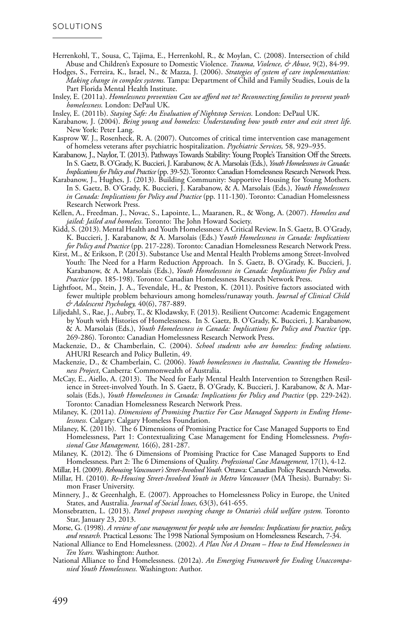- Herrenkohl, T., Sousa, C, Tajima, E., Herrenkohl, R., & Moylan, C. (2008). Intersection of child Abuse and Children's Exposure to Domestic Violence. *Trauma, Violence, & Abuse,* 9(2), 84-99.
- Hodges, S., Ferreira, K., Israel, N., & Mazza, J. (2006). *Strategies of system of care implementation: Making change in complex systems.* Tampa: Department of Child and Family Studies, Louis de la Part Florida Mental Health Institute.
- Insley, E. (2011a). *Homelessness prevention Can we afford not to? Reconnecting families to prevent youth homelessness.* London: DePaul UK.
- Insley, E. (2011b). *Staying Safe: An Evaluation of Nightstop Services.* London: DePaul UK.
- Karabanow, J. (2004). *Being young and homeless: Understanding how youth enter and exit street life.*  New York: Peter Lang.
- Kasprow W. J., Rosenheck, R. A. (2007). Outcomes of critical time intervention case management of homeless veterans after psychiatric hospitalization. *Psychiatric Services,* 58, 929–935.
- Karabanow, J., Naylor, T. (2013). Pathways Towards Stability: Young People's Transition Off the Streets. In S. Gaetz, B. O'Grady, K. Buccieri, J. Karabanow, & A. Marsolais (Eds.), *Youth Homelessness in Canada: Implications for Policy and Practice* (pp. 39-52). Toronto: Canadian Homelessness Research Network Press.
- Karabanow, J., Hughes, J. (2013). Building Community: Supportive Housing for Young Mothers. In S. Gaetz, B. O'Grady, K. Buccieri, J. Karabanow, & A. Marsolais (Eds.), *Youth Homelessness in Canada: Implications for Policy and Practice* (pp. 111-130). Toronto: Canadian Homelessness Research Network Press.
- Kellen, A., Freedman, J., Novac, S., Lapointe, L., Maaranen, R., & Wong, A. (2007). *Homeless and jailed: Jailed and homeless.* Toronto: The John Howard Society.
- Kidd, S. (2013). Mental Health and Youth Homelessness: A Critical Review. In S. Gaetz, B. O'Grady, K. Buccieri, J. Karabanow, & A. Marsolais (Eds.) Y*outh Homelessness in Canada: Implications for Policy and Practice* (pp. 217-228). Toronto: Canadian Homelessness Research Network Press.
- Kirst, M., & Erikson, P. (2013). Substance Use and Mental Health Problems among Street-Involved Youth: The Need for a Harm Reduction Approach. In S. Gaetz, B. O'Grady, K. Buccieri, J. Karabanow, & A. Marsolais (Eds.), *Youth Homelessness in Canada: Implications for Policy and Practice* (pp. 185-198). Toronto: Canadian Homelessness Research Network Press.
- Lightfoot, M., Stein, J. A., Tevendale, H., & Preston, K. (2011). Positive factors associated with fewer multiple problem behaviours among homeless/runaway youth. *Journal of Clinical Child & Adolescent Psychology,* 40(6), 787-889.
- Liljedahl, S., Rae, J., Aubry, T., & Klodawsky, F. (2013). Resilient Outcome: Academic Engagement by Youth with Histories of Homelessness. In S. Gaetz, B. O'Grady, K. Buccieri, J. Karabanow, & A. Marsolais (Eds.), *Youth Homelessness in Canada: Implications for Policy and Practice* (pp. 269-286). Toronto: Canadian Homelessness Research Network Press.
- Mackenzie, D., & Chamberlain, C. (2004). *School students who are homeless: finding solutions.*  AHURI Research and Policy Bulletin, 49.
- Mackenzie, D., & Chamberlain, C. (2006). *Youth homelessness in Australia, Counting the Homelessness Project*, Canberra: Commonwealth of Australia.
- McCay, E., Aiello, A. (2013). The Need for Early Mental Health Intervention to Strengthen Resilience in Street-involved Youth. In S. Gaetz, B. O'Grady, K. Buccieri, J. Karabanow, & A. Marsolais (Eds.), *Youth Homelessness in Canada: Implications for Policy and Practice* (pp. 229-242). Toronto: Canadian Homelessness Research Network Press.
- Milaney, K. (2011a). *Dimensions of Promising Practice For Case Managed Supports in Ending Homelessness.* Calgary: Calgary Homeless Foundation.
- Milaney, K. (2011b). The 6 Dimensions of Promising Practice for Case Managed Supports to End Homelessness, Part 1: Contextualizing Case Management for Ending Homelessness. *Professional Case Management,* 16(6), 281-287.
- Milaney, K. (2012). The 6 Dimensions of Promising Practice for Case Managed Supports to End Homelessness. Part 2: The 6 Dimensions of Quality. *Professional Case Management,* 17(1), 4-12.
- Millar, H. (2009). *Rehousing Vancouver's Street-Involved Youth.* Ottawa: Canadian Policy Research Networks.
- Millar, H. (2010). *Re-Housing Street-Involved Youth in Metro Vancouver* (MA Thesis). Burnaby: Simon Fraser University.
- Minnery, J., & Greenhalgh, E. (2007). Approaches to Homelessness Policy in Europe, the United States, and Australia. *Journal of Social Issues,* 63(3), 641-655.
- Monsebratten, L. (2013). *Panel proposes sweeping change to Ontario's child welfare system.* Toronto Star, January 23, 2013.
- Morse, G. (1998). *A review of case management for people who are homeless: Implications for practice, policy, and research.* Practical Lessons: The 1998 National Symposium on Homelessness Research, 7-34.
- National Alliance to End Homelessness. (2002). *A Plan Not A Dream How to End Homelessness in Ten Years.* Washington: Author.
- National Alliance to End Homelessness. (2012a). *An Emerging Framework for Ending Unaccompanied Youth Homelessness.* Washington: Author.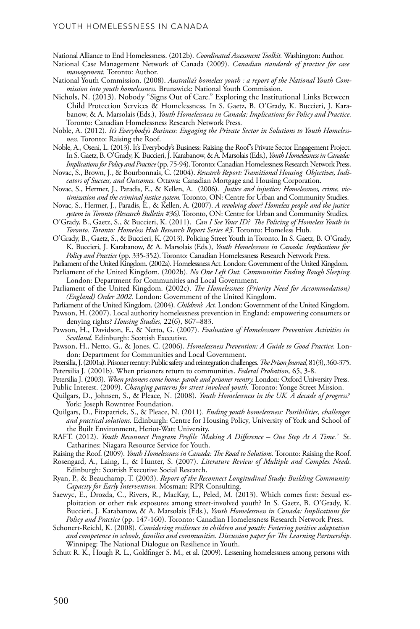National Alliance to End Homelessness. (2012b). *Coordinated Assessment Toolkit.* Washington: Author.

- National Case Management Network of Canada (2009). *Canadian standards of practice for case management.* Toronto: Author.
- National Youth Commission. (2008). *Australia's homeless youth : a report of the National Youth Commission into youth homelessness.* Brunswick: National Youth Commission.
- Nichols, N. (2013). Nobody "Signs Out of Care." Exploring the Institutional Links Between Child Protection Services & Homelessness. In S. Gaetz, B. O'Grady, K. Buccieri, J. Karabanow, & A. Marsolais (Eds.), *Youth Homelessness in Canada: Implications for Policy and Practice.*  Toronto: Canadian Homelessness Research Network Press.
- Noble, A. (2012). *It's Everybody's Business: Engaging the Private Sector in Solutions to Youth Homelessness.* Toronto: Raising the Roof.
- Noble, A., Oseni, L. (2013). It's Everybody's Business: Raising the Roof's Private Sector Engagement Project. In S. Gaetz, B. O'Grady, K. Buccieri, J. Karabanow, & A. Marsolais (Eds.), *Youth Homelessness in Canada: Implications for Policy and Practice* (pp. 75-94). Toronto: Canadian Homelessness Research Network Press.
- Novac, S., Brown, J., & Bourbonnais, C. (2004). *Research Report: Transitional Housing Objectives, Indicators of Success, and Outcomes.* Ottawa: Canadian Mortgage and Housing Corporation.
- Novac, S., Hermer, J., Paradis, E., & Kellen, A. (2006). *Justice and injustice: Homelessness, crime, victimization and the criminal justice system.* Toronto, ON: Centre for Urban and Community Studies.
- Novac, S., Hermer, J., Paradis, E., & Kellen, A. (2007). *A revolving door? Homeless people and the justice system in Toronto (Research Bulletin #36).* Toronto, ON: Centre for Urban and Community Studies.
- O'Grady, B., Gaetz, S., & Buccieri, K. (2011). *Can I See Your ID? The Policing of Homeless Youth in Toronto. Toronto: Homeless Hub Research Report Series #5.* Toronto: Homeless Hub.
- O'Grady, B., Gaetz, S., & Buccieri, K. (2013). Policing Street Youth in Toronto. In S. Gaetz, B. O'Grady, K. Buccieri, J. Karabanow, & A. Marsolais (Eds.), *Youth Homelessness in Canada: Implications for Policy and Practice* (pp. 335-352). Toronto: Canadian Homelessness Research Network Press.
- Parliament of the United Kingdom. (2002a). Homelessness Act. London: Government of the United Kingdom.
- Parliament of the United Kingdom. (2002b). *No One Left Out. Communities Ending Rough Sleeping.*  London: Department for Communities and Local Government.
- Parliament of the United Kingdom. (2002c). *The Homelessness (Priority Need for Accommodation) (England) Order 2002.* London: Government of the United Kingdom.
- Parliament of the United Kingdom. (2004). *Children's Act.* London: Government of the United Kingdom.
- Pawson, H. (2007). Local authority homelessness prevention in England: empowering consumers or denying rights? *Housing Studies,* 22(6), 867–883.
- Pawson, H., Davidson, E., & Netto, G. (2007). *Evaluation of Homelessness Prevention Activities in Scotland.* Edinburgh: Scottish Executive.
- Pawson, H., Netto, G., & Jones, C. (2006). *Homelessness Prevention: A Guide to Good Practice.* London: Department for Communities and Local Government.
- Petersilia, J. (2001a). Prisoner reentry: Public safety and reintegration challenges. *The Prison Journal,* 81(3), 360‐375. Petersilia J. (2001b). When prisoners return to communities. *Federal Probation,* 65, 3‐8.
- Petersilia J. (2003). *When prisoners come home: parole and prisoner reentry.* London: Oxford University Press.
- Public Interest. (2009). *Changing patterns for street involved youth.* Toronto: Yonge Street Mission.
- Quilgars, D., Johnsen, S., & Pleace, N. (2008). *Youth Homelessness in the UK. A decade of progress?*  York: Joseph Rowntree Foundation.
- Quilgars, D., Fitzpatrick, S., & Pleace, N. (2011). *Ending youth homelessness: Possibilities, challenges and practical solutions.* Edinburgh: Centre for Housing Policy, University of York and School of the Built Environment, Heriot-Watt University.
- RAFT. (2012). *Youth Reconnect Program Profile 'Making A Difference One Step At A Time.'* St. Catharines: Niagara Resource Service for Youth.

Raising the Roof. (2009). *Youth Homelessness in Canada: The Road to Solutions.* Toronto: Raising the Roof.

- Rosengard, A., Laing, I., & Hunter, S. (2007). *Literature Review of Multiple and Complex Needs.*  Edinburgh: Scottish Executive Social Research.
- Ryan, P., & Beauchamp, T. (2003). *Report of the Reconnect Longitudinal Study: Building Community Capacity for Early Intervention.* Mosman: RPR Consulting.
- Saewyc, E., Drozda, C., Rivers, R., MacKay, L., Peled, M. (2013). Which comes first: Sexual exploitation or other risk exposures among street-involved youth? In S. Gaetz, B. O'Grady, K. Buccieri, J. Karabanow, & A. Marsolais (Eds.), *Youth Homelessness in Canada: Implications for Policy and Practice* (pp. 147-160). Toronto: Canadian Homelessness Research Network Press.
- Schonert-Reichl, K. (2008). *Considering resilience in children and youth: Fostering positive adaptation and competence in schools, families and communities. Discussion paper for The Learning Partnership.*  Winnipeg: The National Dialogue on Resilience in Youth.
- Schutt R. K., Hough R. L., Goldfinger S. M., et al. (2009). Lessening homelessness among persons with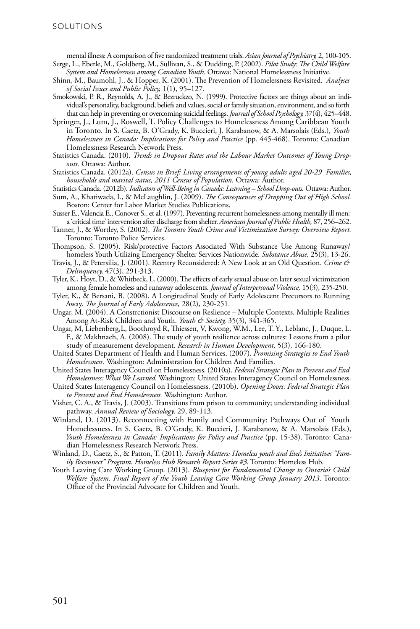mental illness: A comparison of five randomized treatment trials. *Asian Journal of Psychiatry,* 2, 100-105. Serge, L., Eberle, M., Goldberg, M., Sullivan, S., & Dudding, P. (2002). *Pilot Study: The Child Welfare* 

*System and Homelessness among Canadian Youth.* Ottawa: National Homelessness Initiative.

Shinn, M., Baumohl, J., & Hopper, K. (2001). The Prevention of Homelessness Revisited. *Analyses of Social Issues and Public Policy,* 1(1), 95–127.

Smokowski, P. R., Reynolds, A. J., & Bezruckzo, N. (1999). Protective factors are things about an individual's personality, background, beliefs and values, social or family situation, environment, and so forth that can help in preventing or overcoming suicidal feelings. *Journal of School Psychology,* 37(4), 425–448.

- Springer, J., Lum, J., Roswell, T. Policy Challenges to Homelessness Among Caribbean Youth in Toronto. In S. Gaetz, B. O'Grady, K. Buccieri, J. Karabanow, & A. Marsolais (Eds.), *Youth Homelessness in Canada: Implications for Policy and Practice* (pp. 445-468). Toronto: Canadian Homelessness Research Network Press.
- Statistics Canada. (2010). *Trends in Dropout Rates and the Labour Market Outcomes of Young Dropouts.* Ottawa: Author.
- Statistics Canada. (2012a). *Census in Brief: Living arrangements of young adults aged 20-29 Families, households and marital status, 2011 Census of Population.* Ottawa: Author.

Statistics Canada. (2012b). *Indicators of Well-Being in Canada: Learning – School Drop-outs.* Ottawa: Author.

- Sum, A., Khatiwada, I., & McLaughlin, J. (2009). *The Consequences of Dropping Out of High School.*  Boston: Center for Labor Market Studies Publications.
- Susser E., Valencia E., Conover S., et al. (1997). Preventing recurrent homelessness among mentally ill men: a 'critical time' intervention after discharge from shelter. *American Journal of Public Health,* 87, 256–262.
- Tanner, J., & Wortley, S. (2002). *The Toronto Youth Crime and Victimization Survey: Overview Report.*  Toronto: Toronto Police Services.
- Thompson, S. (2005). Risk/protective Factors Associated With Substance Use Among Runaway/ homeless Youth Utilizing Emergency Shelter Services Nationwide. *Substance Abuse,* 25(3), 13-26.
- Travis, J., & Petersilia, J. (2001). Reentry Reconsidered: A New Look at an Old Question. *Crime & Delinquency,* 47(3), 291‐313.
- Tyler, K., Hoyt, D., & Whitbeck, L. (2000). The effects of early sexual abuse on later sexual victimization among female homeless and runaway adolescents. *Journal of Interpersonal Violence,* 15(3), 235-250.
- Tyler, K., & Bersani, B. (2008). A Longitudinal Study of Early Adolescent Precursors to Running Away. *The Journal of Early Adolescence,* 28(2), 230-251.
- Ungar, M. (2004). A Constrctionist Discourse on Reslience Multiple Contexts, Multiple Realities Among At-Risk Children and Youth. *Youth & Society*, 35(3), 341-365.
- Ungar, M, Liebenberg,L, Boothroyd R, Thiessen, V, Kwong, W.M., Lee, T. Y., Leblanc, J., Duque, L. F., & Makhnach, A. (2008). The study of youth resilience across cultures: Lessons from a pilot study of measurement development. *Research in Human Development,* 5(3), 166-180.
- United States Department of Health and Human Services. (2007). *Promising Strategies to End Youth Homelessness.* Washington: Administration for Children And Families.

United States Interagency Council on Homelessness. (2010a). *Federal Strategic Plan to Prevent and End Homelessness: What We Learned.* Washington: United States Interagency Council on Homelessness.

- United States Interagency Council on Homelessness. (2010b). *Opening Doors: Federal Strategic Plan to Prevent and End Homelessness.* Washington: Author.
- Visher, C. A., & Travis, J. (2003). Transitions from prison to community; understanding individual pathway. *Annual Review of Sociology,* 29, 89‐113.
- Winland, D. (2013). Reconnecting with Family and Community: Pathways Out of Youth Homelessness. In S. Gaetz, B. O'Grady, K. Buccieri, J. Karabanow, & A. Marsolais (Eds.), *Youth Homelessness in Canada: Implications for Policy and Practice* (pp. 15-38). Toronto: Canadian Homelessness Research Network Press.
- Winland, D., Gaetz, S., & Patton, T. (2011). *Family Matters: Homeless youth and Eva's Initiatives "Family Reconnect" Program. Homeless Hub Research Report Series #3.* Toronto: Homeless Hub.
- Youth Leaving Care Working Group. (2013). *Blueprint for Fundamental Change to Ontario's Child Welfare System. Final Report of the Youth Leaving Care Working Group January 2013*. Toronto: Office of the Provincial Advocate for Children and Youth.